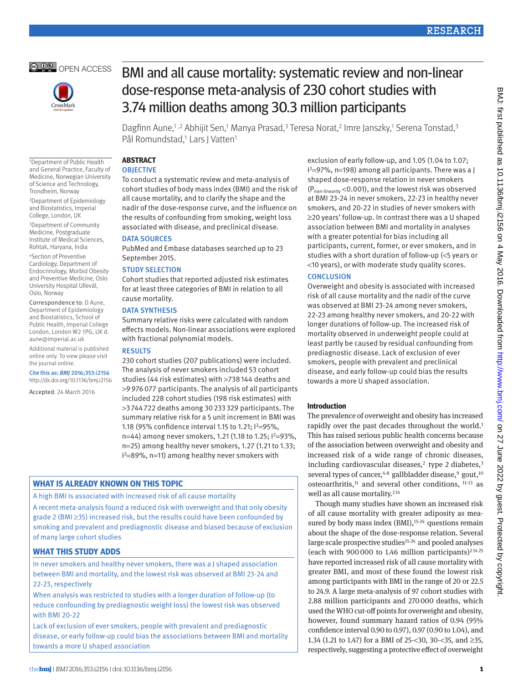# **@ 00** OPEN ACCESS



# BMI and all cause mortality: systematic review and non-linear dose-response meta-analysis of 230 cohort studies with 3.74 million deaths among 30.3 million participants

Dagfinn Aune,<sup>1,2</sup> Abhijit Sen,<sup>1</sup> Manya Prasad,<sup>3</sup> Teresa Norat,<sup>2</sup> Imre Janszky,<sup>1</sup> Serena Tonstad,<sup>3</sup> Pål Romundstad,<sup>1</sup> Lars J Vatten<sup>1</sup>

#### 1Department of Public Health and General Practice, Faculty of Medicine, Norwegian University of Science and Technology, Trondheim, Norway

2Department of Epidemiology and Biostatistics, Imperial College, London, UK

3Department of Community Medicine, Postgraduate Institute of Medical Sciences, Rohtak, Haryana, India

4Section of Preventive Cardiology, Department of Endocrinology, Morbid Obesity and Preventive Medicine, Oslo University Hospital Ullevål, Oslo, Norway

Correspondence to: D Aune, Department of Epidemiology and Biostatistics, School of Public Health, Imperial College London, London W2 1PG, UK d. aune@imperial.ac.uk

Additional material is published online only. To view please visit the journal online.

#### Cite this as: *BMJ* 2016;353:i2156 http://dx.doi.org/10.1136/bmj.i2156

Accepted: 24 March 2016

# **ABSTRACT**

**OBJECTIVE** 

To conduct a systematic review and meta-analysis of cohort studies of body mass index (BMI) and the risk of all cause mortality, and to clarify the shape and the nadir of the dose-response curve, and the influence on the results of confounding from smoking, weight loss associated with disease, and preclinical disease.

## DATA SOURCES

PubMed and Embase databases searched up to 23 September 2015.

## Study selection

Cohort studies that reported adjusted risk estimates for at least three categories of BMI in relation to all cause mortality.

## DATA SYNTHESIS

Summary relative risks were calculated with random effects models. Non-linear associations were explored with fractional polynomial models.

## **RESULTS**

230 cohort studies (207 publications) were included. The analysis of never smokers included 53 cohort studies (44 risk estimates) with >738144 deaths and >9976077 participants. The analysis of all participants included 228 cohort studies (198 risk estimates) with >3744722 deaths among 30233329 participants. The summary relative risk for a 5 unit increment in BMI was 1.18 (95% confidence interval 1.15 to 1.21;  $1^{2}=95\%$ , n=44) among never smokers, 1.21 (1.18 to 1.25;  $1^2=93\%$ , n=25) among healthy never smokers, 1.27 (1.21 to 1.33; I <sup>2</sup>=89%, n=11) among healthy never smokers with

# **What is already known on this topic**

## A high BMI is associated with increased risk of all cause mortality

A recent meta-analysis found a reduced risk with overweight and that only obesity grade 2 (BMI ≥35) increased risk, but the results could have been confounded by smoking and prevalent and prediagnostic disease and biased because of exclusion of many large cohort studies

# **What this study adds**

In never smokers and healthy never smokers, there was a J shaped association between BMI and mortality, and the lowest risk was observed at BMI 23-24 and 22-23, respectively

When analysis was restricted to studies with a longer duration of follow-up (to reduce confounding by prediagnostic weight loss) the lowest risk was observed with BMI 20-22

Lack of exclusion of ever smokers, people with prevalent and prediagnostic disease, or early follow-up could bias the associations between BMI and mortality towards a more U shaped association

exclusion of early follow-up, and 1.05 (1.04 to 1.07; I <sup>2</sup>=97%, n=198) among all participants. There was a J shaped dose-response relation in never smokers  $(P_{non-linearity} < 0.001)$ , and the lowest risk was observed at BMI 23-24 in never smokers, 22-23 in healthy never smokers, and 20-22 in studies of never smokers with ≥20 years' follow-up. In contrast there was a U shaped association between BMI and mortality in analyses with a greater potential for bias including all participants, current, former, or ever smokers, and in studies with a short duration of follow-up (<5 years or <10 years), or with moderate study quality scores.

## **CONCLUSION**

Overweight and obesity is associated with increased risk of all cause mortality and the nadir of the curve was observed at BMI 23-24 among never smokers, 22-23 among healthy never smokers, and 20-22 with longer durations of follow-up. The increased risk of mortality observed in underweight people could at least partly be caused by residual confounding from prediagnostic disease. Lack of exclusion of ever smokers, people with prevalent and preclinical disease, and early follow-up could bias the results towards a more U shaped association.

## **Introduction**

The prevalence of overweight and obesity has increased rapidly over the past decades throughout the world.<sup>1</sup> This has raised serious public health concerns because of the association between overweight and obesity and increased risk of a wide range of chronic diseases, including cardiovascular diseases, $2$  type 2 diabetes, $3$ several types of cancer,  $^{4\cdot8}$  gallbladder disease,  $^{9}$  gout,  $^{10}$ osteoarthritis,<sup>11</sup> and several other conditions, <sup>11-13</sup> as well as all cause mortality.<sup>214</sup>

Though many studies have shown an increased risk of all cause mortality with greater adiposity as measured by body mass index (BMI),<sup>15-24</sup> questions remain about the shape of the dose-response relation. Several large scale prospective studies<sup>15-24</sup> and pooled analyses (each with 900 000 to 1.46 million participants)<sup>214 25</sup> have reported increased risk of all cause mortality with greater BMI, and most of these found the lowest risk among participants with BMI in the range of 20 or 22.5 to 24.9. A large meta-analysis of 97 cohort studies with 2.88 million participants and 270000 deaths, which used the WHO cut-off points for overweight and obesity, however, found summary hazard ratios of 0.94 (95% confidence interval 0.90 to 0.97), 0.97 (0.90 to 1.04), and 1.34 (1.21 to 1.47) for a BMI of 25-<30, 30-<35, and ≥35, respectively, suggesting a protective effect of overweight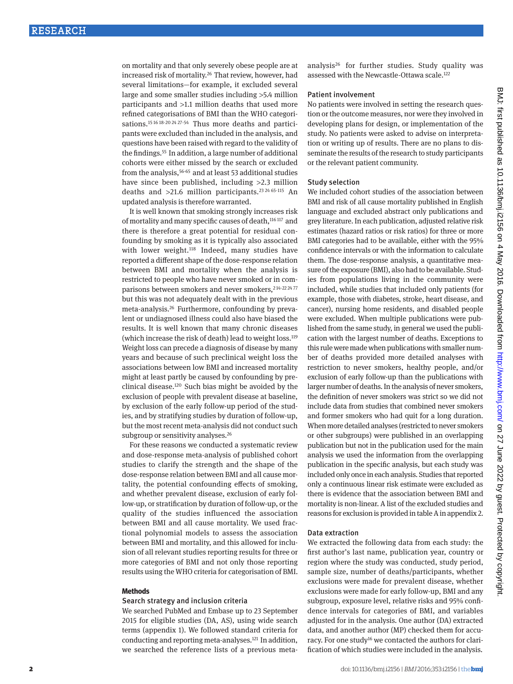on mortality and that only severely obese people are at increased risk of mortality.26 That review, however, had several limitations—for example, it excluded several large and some smaller studies including >5.4 million participants and >1.1 million deaths that used more refined categorisations of BMI than the WHO categorisations.15 <sup>16</sup> 18-20 <sup>24</sup> 27-54 Thus more deaths and participants were excluded than included in the analysis, and questions have been raised with regard to the validity of the findings.55 In addition, a large number of additional cohorts were either missed by the search or excluded from the analysis,<sup>56-65</sup> and at least 53 additional studies have since been published, including >2.3 million deaths and  $>21.6$  million participants.<sup>23 24 65-115</sup> An updated analysis is therefore warranted.

It is well known that smoking strongly increases risk of mortality and many specific causes of death,<sup>116 117</sup> and there is therefore a great potential for residual confounding by smoking as it is typically also associated with lower weight.<sup>118</sup> Indeed, many studies have reported a different shape of the dose-response relation between BMI and mortality when the analysis is restricted to people who have never smoked or in comparisons between smokers and never smokers,<sup>214-2224 77</sup> but this was not adequately dealt with in the previous meta-analysis.26 Furthermore, confounding by prevalent or undiagnosed illness could also have biased the results. It is well known that many chronic diseases (which increase the risk of death) lead to weight loss.<sup>119</sup> Weight loss can precede a diagnosis of disease by many years and because of such preclinical weight loss the associations between low BMI and increased mortality might at least partly be caused by confounding by preclinical disease.120 Such bias might be avoided by the exclusion of people with prevalent disease at baseline, by exclusion of the early follow-up period of the studies, and by stratifying studies by duration of follow-up, but the most recent meta-analysis did not conduct such subgroup or sensitivity analyses.<sup>26</sup>

For these reasons we conducted a systematic review and dose-response meta-analysis of published cohort studies to clarify the strength and the shape of the dose-response relation between BMI and all cause mortality, the potential confounding effects of smoking, and whether prevalent disease, exclusion of early follow-up, or stratification by duration of follow-up, or the quality of the studies influenced the association between BMI and all cause mortality. We used fractional polynomial models to assess the association between BMI and mortality, and this allowed for inclusion of all relevant studies reporting results for three or more categories of BMI and not only those reporting results using the WHO criteria for categorisation of BMI.

#### **Methods**

#### Search strategy and inclusion criteria

We searched PubMed and Embase up to 23 September 2015 for eligible studies (DA, AS), using wide search terms (appendix 1). We followed standard criteria for conducting and reporting meta-analyses.121 In addition, we searched the reference lists of a previous metaanalysis26 for further studies. Study quality was assessed with the Newcastle-Ottawa scale.122

#### Patient involvement

No patients were involved in setting the research question or the outcome measures, nor were they involved in developing plans for design, or implementation of the study. No patients were asked to advise on interpretation or writing up of results. There are no plans to disseminate the results of the research to study participants or the relevant patient community.

#### Study selection

We included cohort studies of the association between BMI and risk of all cause mortality published in English language and excluded abstract only publications and grey literature. In each publication, adjusted relative risk estimates (hazard ratios or risk ratios) for three or more BMI categories had to be available, either with the 95% confidence intervals or with the information to calculate them. The dose-response analysis, a quantitative measure of the exposure (BMI), also had to be available. Studies from populations living in the community were included, while studies that included only patients (for example, those with diabetes, stroke, heart disease, and cancer), nursing home residents, and disabled people were excluded. When multiple publications were published from the same study, in general we used the publication with the largest number of deaths. Exceptions to this rule were made when publications with smaller number of deaths provided more detailed analyses with restriction to never smokers, healthy people, and/or exclusion of early follow-up than the publications with larger number of deaths. In the analysis of never smokers, the definition of never smokers was strict so we did not include data from studies that combined never smokers and former smokers who had quit for a long duration. When more detailed analyses (restricted to never smokers or other subgroups) were published in an overlapping publication but not in the publication used for the main analysis we used the information from the overlapping publication in the specific analysis, but each study was included only once in each analysis. Studies that reported only a continuous linear risk estimate were excluded as there is evidence that the association between BMI and mortality is non-linear. A list of the excluded studies and reasons for exclusion is provided in table A in appendix 2.

#### Data extraction

We extracted the following data from each study: the first author's last name, publication year, country or region where the study was conducted, study period, sample size, number of deaths/participants, whether exclusions were made for prevalent disease, whether exclusions were made for early follow-up, BMI and any subgroup, exposure level, relative risks and 95% confidence intervals for categories of BMI, and variables adjusted for in the analysis. One author (DA) extracted data, and another author (MP) checked them for accuracy. For one study<sup>16</sup> we contacted the authors for clarification of which studies were included in the analysis.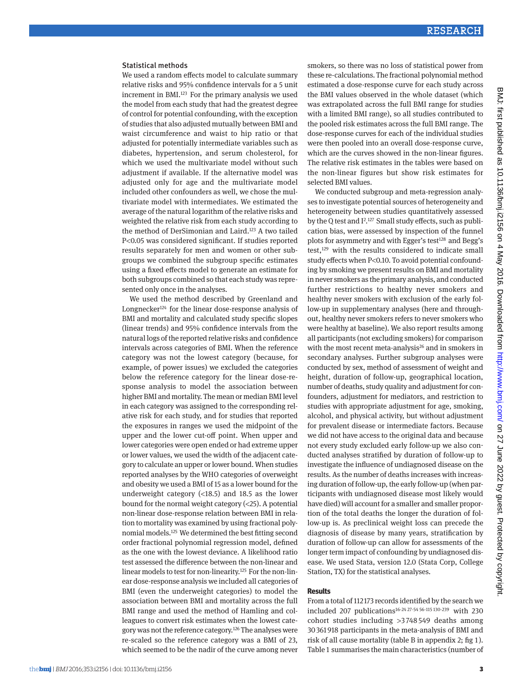#### Statistical methods

We used a random effects model to calculate summary relative risks and 95% confidence intervals for a 5 unit increment in BMI.123 For the primary analysis we used the model from each study that had the greatest degree of control for potential confounding, with the exception of studies that also adjusted mutually between BMI and waist circumference and waist to hip ratio or that adjusted for potentially intermediate variables such as diabetes, hypertension, and serum cholesterol, for which we used the multivariate model without such adjustment if available. If the alternative model was adjusted only for age and the multivariate model included other confounders as well, we chose the multivariate model with intermediates. We estimated the average of the natural logarithm of the relative risks and weighted the relative risk from each study according to the method of DerSimonian and Laird.123 A two tailed P<0.05 was considered significant. If studies reported results separately for men and women or other subgroups we combined the subgroup specific estimates using a fixed effects model to generate an estimate for both subgroups combined so that each study was represented only once in the analyses.

We used the method described by Greenland and Longnecker<sup>124</sup> for the linear dose-response analysis of BMI and mortality and calculated study specific slopes (linear trends) and 95% confidence intervals from the natural logs of the reported relative risks and confidence intervals across categories of BMI. When the reference category was not the lowest category (because, for example, of power issues) we excluded the categories below the reference category for the linear dose-response analysis to model the association between higher BMI and mortality. The mean or median BMI level in each category was assigned to the corresponding relative risk for each study, and for studies that reported the exposures in ranges we used the midpoint of the upper and the lower cut-off point. When upper and lower categories were open ended or had extreme upper or lower values, we used the width of the adjacent category to calculate an upper or lower bound. When studies reported analyses by the WHO categories of overweight and obesity we used a BMI of 15 as a lower bound for the underweight category (<18.5) and 18.5 as the lower bound for the normal weight category (<25). A potential non-linear dose-response relation between BMI in relation to mortality was examined by using fractional polynomial models.125 We determined the best fitting second order fractional polynomial regression model, defined as the one with the lowest deviance. A likelihood ratio test assessed the difference between the non-linear and linear models to test for non-linearity.125 For the non-linear dose-response analysis we included all categories of BMI (even the underweight categories) to model the association between BMI and mortality across the full BMI range and used the method of Hamling and colleagues to convert risk estimates when the lowest category was not the reference category.126 The analyses were re-scaled so the reference category was a BMI of 23, which seemed to be the nadir of the curve among never smokers, so there was no loss of statistical power from these re-calculations. The fractional polynomial method estimated a dose-response curve for each study across the BMI values observed in the whole dataset (which was extrapolated across the full BMI range for studies with a limited BMI range), so all studies contributed to the pooled risk estimates across the full BMI range. The dose-response curves for each of the individual studies were then pooled into an overall dose-response curve, which are the curves showed in the non-linear figures. The relative risk estimates in the tables were based on the non-linear figures but show risk estimates for selected BMI values.

We conducted subgroup and meta-regression analyses to investigate potential sources of heterogeneity and heterogeneity between studies quantitatively assessed by the Q test and I<sup>2</sup>.<sup>127</sup> Small study effects, such as publication bias, were assessed by inspection of the funnel plots for asymmetry and with Egger's test<sup>128</sup> and Begg's test,129 with the results considered to indicate small study effects when P<0.10. To avoid potential confounding by smoking we present results on BMI and mortality in never smokers as the primary analysis, and conducted further restrictions to healthy never smokers and healthy never smokers with exclusion of the early follow-up in supplementary analyses (here and throughout, healthy never smokers refers to never smokers who were healthy at baseline). We also report results among all participants (not excluding smokers) for comparison with the most recent meta-analysis<sup>26</sup> and in smokers in secondary analyses. Further subgroup analyses were conducted by sex, method of assessment of weight and height, duration of follow-up, geographical location, number of deaths, study quality and adjustment for confounders, adjustment for mediators, and restriction to studies with appropriate adjustment for age, smoking, alcohol, and physical activity, but without adjustment for prevalent disease or intermediate factors. Because we did not have access to the original data and because not every study excluded early follow-up we also conducted analyses stratified by duration of follow-up to investigate the influence of undiagnosed disease on the results. As the number of deaths increases with increasing duration of follow-up, the early follow-up (when participants with undiagnosed disease most likely would have died) will account for a smaller and smaller proportion of the total deaths the longer the duration of follow-up is. As preclinical weight loss can precede the diagnosis of disease by many years, stratification by duration of follow-up can allow for assessments of the longer term impact of confounding by undiagnosed disease. We used Stata, version 12.0 (Stata Corp, College Station, TX) for the statistical analyses.

#### **Results**

From a total of 112173 records identified by the search we included 207 publications16-24 27-54 56-115 130-239 with 230 cohort studies including >3 748 549 deaths among 30361918 participants in the meta-analysis of BMI and risk of all cause mortality (table B in appendix 2; fig 1 ). Table 1 summarises the main characteristics (number of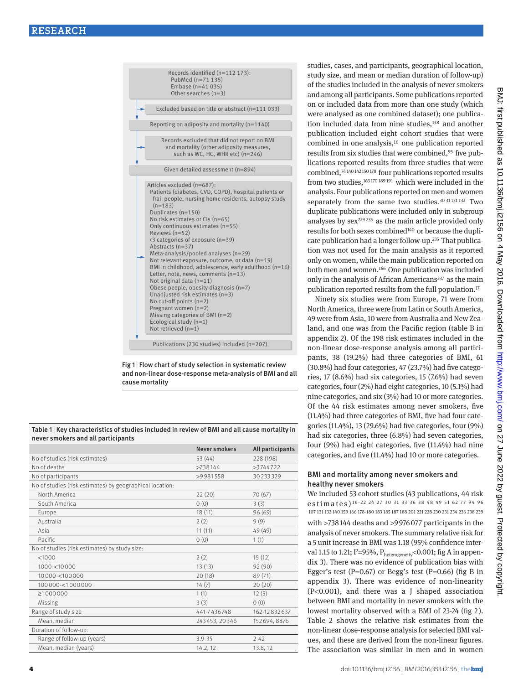

Fig 1 | Flow chart of study selection in systematic review and non-linear dose-response meta-analysis of BMI and all cause mortality

Table 1 | Key characteristics of studies included in review of BMI and all cause mortality in never smokers and all participants

|                                                          | Never smokers   | All participants |
|----------------------------------------------------------|-----------------|------------------|
| No of studies (risk estimates)                           | 53 (44)         | 228 (198)        |
| No of deaths                                             | >738144         | >3744722         |
| No of participants                                       | >9981558        | 30233329         |
| No of studies (risk estimates) by geographical location: |                 |                  |
| North America                                            | 22(20)          | 70 (67)          |
| South America                                            | 0(0)            | 3(3)             |
| Europe                                                   | 18(11)          | 96 (69)          |
| Australia                                                | 2(2)            | 9(9)             |
| Asia                                                     | 11(11)          | 49 (49)          |
| Pacific                                                  | 0(0)            | 1(1)             |
| No of studies (risk estimates) by study size:            |                 |                  |
| < 1000                                                   | 2(2)            | 15(12)           |
| $1000 - 10000$                                           | 13(13)          | 92 (90)          |
| 10000-<100000                                            | 20(18)          | 89 (71)          |
| $100000 - 1000000$                                       | 14(7)           | 20(20)           |
| ≥1000000                                                 | 1(1)            | 12(5)            |
| Missing                                                  | 3(3)            | 0(0)             |
| Range of study size                                      | 441-7436748     | 162-12832637     |
| Mean, median                                             | 243 453, 203 46 | 152 694, 8876    |
| Duration of follow-up:                                   |                 |                  |
| Range of follow-up (years)                               | 3.9-35          | $2 - 42$         |
| Mean, median (years)                                     | 14.2, 12        | 13.8, 12         |

studies, cases, and participants, geographical location, study size, and mean or median duration of follow-up) of the studies included in the analysis of never smokers and among all participants. Some publications reported on or included data from more than one study (which were analysed as one combined dataset); one publication included data from nine studies,<sup>138</sup> and another publication included eight cohort studies that were combined in one analysis,16 one publication reported results from six studies that were combined.<sup>95</sup> five publications reported results from three studies that were combined,74 <sup>140</sup> <sup>142</sup> <sup>150</sup> 178 four publications reported results from two studies,<sup>163 170 189 191</sup> which were included in the analysis. Four publications reported on men and women separately from the same two studies.<sup>30 31 131 132</sup> Two duplicate publications were included only in subgroup analyses by  $sex^{229\,235}$  as the main article provided only results for both sexes combined<sup>140</sup> or because the duplicate publication had a longer follow-up.235 That publication was not used for the main analysis as it reported only on women, while the main publication reported on both men and women.166 One publication was included only in the analysis of African Americans<sup>237</sup> as the main publication reported results from the full population.<sup>17</sup>

Ninety six studies were from Europe, 71 were from North America, three were from Latin or South America, 49 were from Asia, 10 were from Australia and New Zealand, and one was from the Pacific region (table B in appendix 2). Of the 198 risk estimates included in the non-linear dose-response analysis among all participants, 38 (19.2%) had three categories of BMI, 61 (30.8%) had four categories, 47 (23.7%) had five categories, 17 (8.6%) had six categories, 15 (7.6%) had seven categories, four (2%) had eight categories, 10 (5.1%) had nine categories, and six (3%) had 10 or more categories. Of the 44 risk estimates among never smokers, five (11.4%) had three categories of BMI, five had four categories (11.4%), 13 (29.6%) had five categories, four (9%) had six categories, three (6.8%) had seven categories, four (9%) had eight categories, five (11.4%) had nine categories, and five (11.4%) had 10 or more categories.

# BMI and mortality among never smokers and healthy never smokers

We included 53 cohort studies (43 publications, 44 risk estimates) <sup>16-22</sup> <sup>24</sup> <sup>27</sup> <sup>30</sup> <sup>31</sup> <sup>33</sup> <sup>36</sup> <sup>38</sup> <sup>48</sup> <sup>49</sup> <sup>51</sup> <sup>62</sup> <sup>77</sup> <sup>94</sup> <sup>96</sup> 107 131 132 140 159 166 178-180 183 185 187 188 201 221 228 230 231 234 236 238 239

with >738144 deaths and >9976077 participants in the analysis of never smokers. The summary relative risk for a 5 unit increase in BMI was 1.18 (95% confidence interval 1.15 to 1.21;  $I^2 = 95\%$ ,  $P_{heterogeneity} < 0.001$ ; fig A in appendix 3). There was no evidence of publication bias with Egger's test (P=0.67) or Begg's test (P=0.66) (fig B in appendix 3). There was evidence of non-linearity (P<0.001), and there was a J shaped association between BMI and mortality in never smokers with the lowest mortality observed with a BMI of 23-24 (fig 2). Table 2 shows the relative risk estimates from the non-linear dose-response analysis for selected BMI values, and these are derived from the non-linear figures. The association was similar in men and in women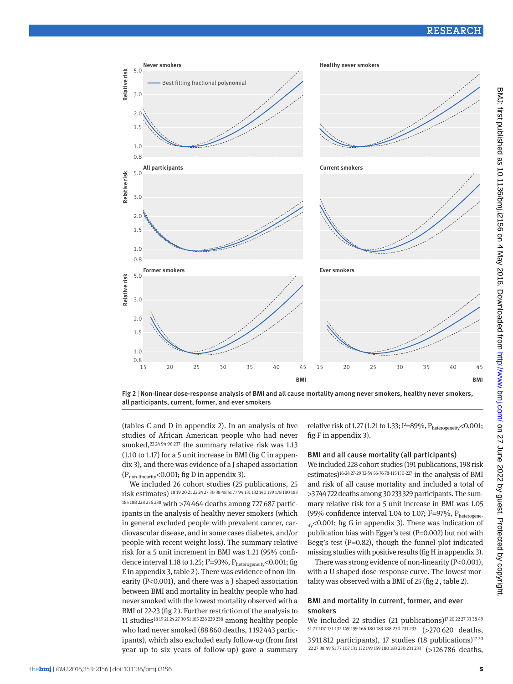

Fig 2 | Non-linear dose-response analysis of BMI and all cause mortality among never smokers, healthy never smokers, all participants, current, former, and ever smokers

(tables C and D in appendix 2). In an analysis of five studies of African American people who had never smoked,<sup>22 24 94 96 237</sup> the summary relative risk was 1.13 (1.10 to 1.17) for a 5 unit increase in BMI (fig C in appendix 3), and there was evidence of a J shaped association ( $P_{non-linearity}$ <0.001; fig D in appendix 3).

We included 26 cohort studies (25 publications, 25 risk estimates) 18 <sup>19</sup> <sup>20</sup> <sup>21</sup> <sup>22</sup> <sup>24</sup> <sup>27</sup> <sup>30</sup> <sup>38</sup> <sup>48</sup> <sup>51</sup> <sup>77</sup> <sup>94</sup> <sup>131</sup> <sup>132</sup> <sup>140</sup> <sup>159</sup> <sup>178</sup> <sup>180</sup> <sup>183</sup> <sup>185</sup> <sup>188</sup> <sup>228</sup> <sup>236</sup> 238 with >74464 deaths among 727687 participants in the analysis of healthy never smokers (which in general excluded people with prevalent cancer, cardiovascular disease, and in some cases diabetes, and/or people with recent weight loss). The summary relative risk for a 5 unit increment in BMI was 1.21 (95% confidence interval 1.18 to 1.25;  $I^2=93\%$ ,  $P_{heterogeneity}<0.001$ ; fig E in appendix 3, table 2 ). There was evidence of non-linearity (P<0.001), and there was a J shaped association between BMI and mortality in healthy people who had never smoked with the lowest mortality observed with a BMI of 22-23 (fig 2). Further restriction of the analysis to 11 studies18 <sup>19</sup> <sup>21</sup> <sup>24</sup> <sup>27</sup> <sup>30</sup> <sup>51</sup> <sup>185</sup> <sup>228</sup> <sup>229</sup> 238 among healthy people who had never smoked (88860 deaths, 1 192443 participants), which also excluded early follow-up (from first year up to six years of follow-up) gave a summary

relative risk of 1.27 (1.21 to 1.33;  $I<sup>2</sup>=89%$ ,  $P_{heterogeneity}<0.001$ ; fig F in appendix 3).

# BMI and all cause mortality (all participants)

We included 228 cohort studies (191 publications, 198 risk estimates)16-24 27-29 32-54 56-76 78-115 130-227 in the analysis of BMI and risk of all cause mortality and included a total of >3744722 deaths among 30233329 participants. The summary relative risk for a 5 unit increase in BMI was 1.05 (95% confidence interval 1.04 to 1.07;  $I^2=97\%$ ,  $P_{\text{heterogene}}$ .  $_{\text{itv}}$ <0.001; fig G in appendix 3). There was indication of publication bias with Egger's test (P=0.002) but not with Begg's test  $(P=0.82)$ , though the funnel plot indicated missing studies with positive results (fig H in appendix 3).

There was strong evidence of non-linearity (P<0.001), with a U shaped dose-response curve. The lowest mortality was observed with a BMI of 25 (fig 2 , table 2).

#### BMI and mortality in current, former, and ever smokers

We included 22 studies (21 publications)<sup>17 20 22 27 33 38 49</sup> <sup>51</sup> <sup>77</sup> <sup>107</sup> <sup>131</sup> <sup>132</sup> <sup>149</sup> <sup>159</sup> <sup>166</sup> <sup>180</sup> <sup>183</sup> <sup>188</sup> <sup>230</sup> <sup>231</sup> 233 (>270 620 deaths, 3911812 participants), 17 studies (18 publications)<sup>1720</sup> <sup>22</sup> <sup>27</sup> <sup>38</sup> <sup>49</sup> <sup>51</sup> <sup>77</sup> <sup>107</sup> <sup>131</sup> <sup>132</sup> <sup>149</sup> <sup>159</sup> <sup>180</sup> <sup>183</sup> <sup>230</sup> <sup>231</sup> 233 (>126 786 deaths,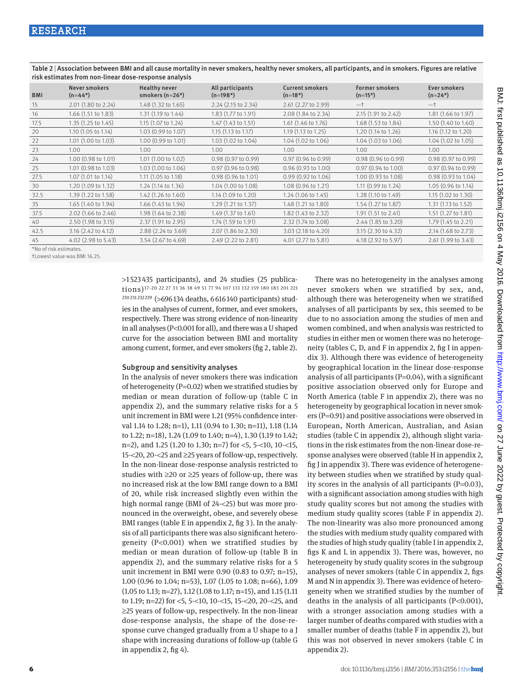Table 2 | Association between BMI and all cause mortality in never smokers, healthy never smokers, all participants, and in smokers. Figures are relative risk estimates from non-linear dose-response analysis

| <b>BMI</b> | Never smokers<br>$(n=44*)$ | Healthy never<br>smokers $(n=26*)$ | All participants<br>$(n=198*)$ | <b>Current smokers</b><br>$(n=18*)$ | <b>Former smokers</b><br>$(n=15*)$ | Ever smokers<br>$(n=24*)$     |
|------------|----------------------------|------------------------------------|--------------------------------|-------------------------------------|------------------------------------|-------------------------------|
| 15         | 2.01 (1.80 to 2.24)        | 1.48 (1.32 to 1.65)                | 2.24 (2.15 to 2.34)            | 2.61 (2.27 to 2.99)                 | $-$ †                              | $-$ †                         |
| 16         | 1.66 (1.51 to 1.83)        | 1.31 (1.19 to 1.44)                | 1.83 (1.77 to 1.91)            | 2.08 (1.84 to 2.34)                 | 2.15 (1.91 to 2.42)                | 1.81 (1.66 to 1.97)           |
| 17.5       | 1.35 (1.25 to 1.45)        | 1.15 (1.07 to 1.24)                | 1.47 (1.43 to 1.51)            | 1.61 (1.46 to 1.76)                 | 1.68 (1.53 to 1.84)                | 1.50 (1.40 to 1.60)           |
| 20         | 1.10 (1.05 to 1.14)        | 1.03 (0.99 to 1.07)                | 1.15 (1.13 to 1.17)            | 1.19 (1.13 to 1.25)                 | 1.20 (1.14 to 1.26)                | 1.16 (1.12 to 1.20)           |
| 22         | 1.01 (1.00 to 1.03)        | 1.00 (0.99 to 1.01)                | 1.03 (1.02 to 1.04)            | 1.04 (1.02 to 1.06)                 | 1.04 (1.03 to 1.06)                | 1.04 (1.02 to 1.05)           |
| 23         | 1.00                       | 1.00 <sub>1</sub>                  | 1.00                           | 1.00                                | 1.00                               | 1.00                          |
| 24         | 1.00 (0.98 to 1.01)        | 1.01 (1.00 to 1.02)                | 0.98 (0.97 to 0.99)            | $0.97(0.96 \text{ to } 0.99)$       | $0.98(0.96 \text{ to } 0.99)$      | $0.98(0.97 \text{ to } 0.99)$ |
| 25         | 1.01 (0.98 to 1.03)        | 1.03 (1.00 to 1.06)                | 0.97 (0.96 to 0.98)            | $0.96(0.93 \text{ to } 1.00)$       | $0.97(0.94 \text{ to } 1.00)$      | $0.97(0.94 \text{ to } 0.99)$ |
| 27.5       | 1.07(1.01 to 1.14)         | 1.11 (1.05 to 1.18)                | $0.98(0.96 \text{ to } 1.01)$  | $0.99$ (0.92 to 1.06)               | 1.00 (0.93 to 1.08)                | $0.98(0.93 \text{ to } 1.04)$ |
| 30         | 1.20 (1.09 to 1.32)        | 1.24 (1.14 to 1.36)                | 1.04 (1.00 to 1.08)            | 1.08 (0.96 to 1.21)                 | 1.11 (0.99 to 1.24)                | 1.05 (0.96 to 1.14)           |
| 32.5       | 1.39 (1.22 to 1.58)        | 1.42 (1.26 to 1.60)                | 1.14 (1.09 to 1.20)            | 1.24 (1.06 to 1.45)                 | 1.28 (1.10 to 1.49)                | 1.15 (1.02 to 1.30)           |
| 35         | 1.65 (1.40 to 1.94)        | 1.66 (1.43 to 1.94)                | 1.29 (1.21 to 1.37)            | 1.48 (1.21 to 1.80)                 | 1.54 (1.27 to 1.87)                | 1.31 (1.13 to 1.52)           |
| 37.5       | 2.02 (1.66 to 2.46)        | 1.98 (1.64 to 2.38)                | 1.49 (1.37 to 1.61)            | 1.82 (1.43 to 2.32)                 | 1.91 (1.51 to 2.41)                | 1.51 (1.27 to 1.81)           |
| 40         | 2.50 (1.98 to 3.15)        | 2.37 (1.91 to 2.95)                | 1.74 (1.59 to 1.91)            | 2.32 (1.74 to 3.08)                 | 2.44 (1.85 to 3.20)                | 1.79 (1.45 to 2.21)           |
| 42.5       | 3.16 (2.42 to 4.12)        | 2.88 (2.24 to 3.69)                | 2.07 (1.86 to 2.30)            | 3.03 (2.18 to 4.20)                 | 3.15 (2.30 to 4.32)                | 2.14 (1.68 to 2.73)           |
| 45         | 4.02 (2.98 to 5.43)        | 3.54 (2.67 to 4.69)                | 2.49 (2.22 to 2.81)            | 4.01 (2.77 to 5.81)                 | 4.18 (2.92 to 5.97)                | 2.61 (1.99 to 3.43)           |

\*No of risk estimates.

†Lowest value was BMI 16.25.

>1 523 435 participants), and 24 studies (25 publications) 17-20 <sup>22</sup> <sup>27</sup> <sup>33</sup> <sup>36</sup> <sup>38</sup> <sup>49</sup> <sup>51</sup> <sup>77</sup> <sup>94</sup> <sup>107</sup> <sup>131</sup> <sup>132</sup> <sup>159</sup> <sup>180</sup> <sup>183</sup> <sup>201</sup> <sup>221</sup> <sup>230</sup> <sup>231</sup> <sup>232</sup> 239 (>696134 deaths, 6616140 participants) studies in the analyses of current, former, and ever smokers, respectively. There was strong evidence of non-linearity in all analyses (P<0.001 for all), and there was a U shaped curve for the association between BMI and mortality among current, former, and ever smokers (fig 2, table 2).

## Subgroup and sensitivity analyses

In the analysis of never smokers there was indication of heterogeneity ( $P=0.02$ ) when we stratified studies by median or mean duration of follow-up (table C in appendix 2), and the summary relative risks for a 5 unit increment in BMI were 1.21 (95% confidence interval 1.14 to 1.28; n=1), 1.11 (0.94 to 1.30; n=11), 1.18 (1.14 to 1.22; n=18), 1.24 (1.09 to 1.40; n=4), 1.30 (1.19 to 1.42; n=2), and 1.25 (1.20 to 1.30; n=7) for <5, 5-<10, 10-<15, 15-<20, 20-<25 and ≥25 years of follow-up, respectively. In the non-linear dose-response analysis restricted to studies with ≥20 or ≥25 years of follow-up, there was no increased risk at the low BMI range down to a BMI of 20, while risk increased slightly even within the high normal range (BMI of 24-<25) but was more pronounced in the overweight, obese, and severely obese BMI ranges (table E in appendix 2, fig 3). In the analysis of all participants there was also significant heterogeneity (P<0.001) when we stratified studies by median or mean duration of follow-up (table B in appendix 2), and the summary relative risks for a 5 unit increment in BMI were 0.90 (0.83 to 0.97; n=15), 1.00 (0.96 to 1.04; n=53), 1.07 (1.05 to 1.08; n=66), 1.09 (1.05 to 1.13; n=27), 1.12 (1.08 to 1.17; n=15), and 1.15 (1.11 to 1.19; n=22) for <5, 5-<10, 10-<15, 15-<20, 20-<25, and ≥25 years of follow-up, respectively. In the non-linear dose-response analysis, the shape of the dose-response curve changed gradually from a U shape to a J shape with increasing durations of follow-up (table G in appendix 2, fig 4).

There was no heterogeneity in the analyses among never smokers when we stratified by sex, and, although there was heterogeneity when we stratified analyses of all participants by sex, this seemed to be due to no association among the studies of men and women combined, and when analysis was restricted to studies in either men or women there was no heterogeneity (tables C, D, and F in appendix 2, fig I in appendix 3). Although there was evidence of heterogeneity by geographical location in the linear dose-response analysis of all participants (P=0.04), with a significant positive association observed only for Europe and North America (table F in appendix 2), there was no heterogeneity by geographical location in never smokers (P=0.91) and positive associations were observed in European, North American, Australian, and Asian studies (table C in appendix 2), although slight variations in the risk estimates from the non-linear dose-response analyses were observed (table H in appendix 2, fig J in appendix 3). There was evidence of heterogeneity between studies when we stratified by study quality scores in the analysis of all participants (P=0.03), with a significant association among studies with high study quality scores but not among the studies with medium study quality scores (table F in appendix 2). The non-linearity was also more pronounced among the studies with medium study quality compared with the studies of high study quality (table I in appendix 2, figs K and L in appendix 3). There was, however, no heterogeneity by study quality scores in the subgroup analyses of never smokers (table C in appendix 2, figs M and N in appendix 3). There was evidence of heterogeneity when we stratified studies by the number of deaths in the analysis of all participants (P<0.001), with a stronger association among studies with a larger number of deaths compared with studies with a smaller number of deaths (table F in appendix 2), but this was not observed in never smokers (table C in appendix 2).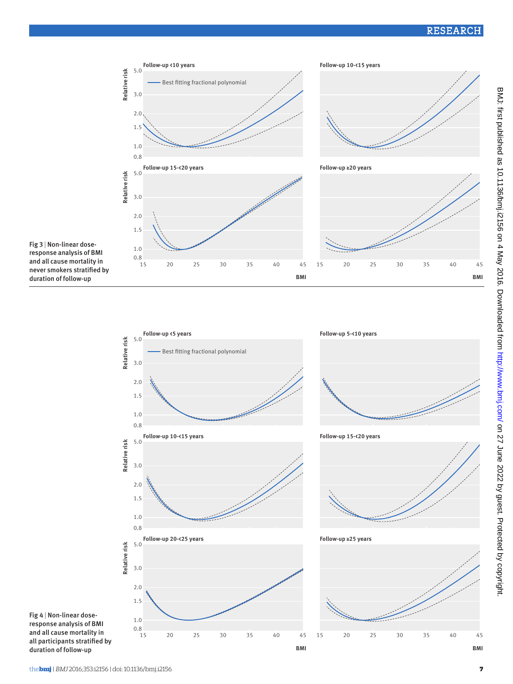



response analysis of BMI and all cause mortality in never smokers stratified by duration of follow-up

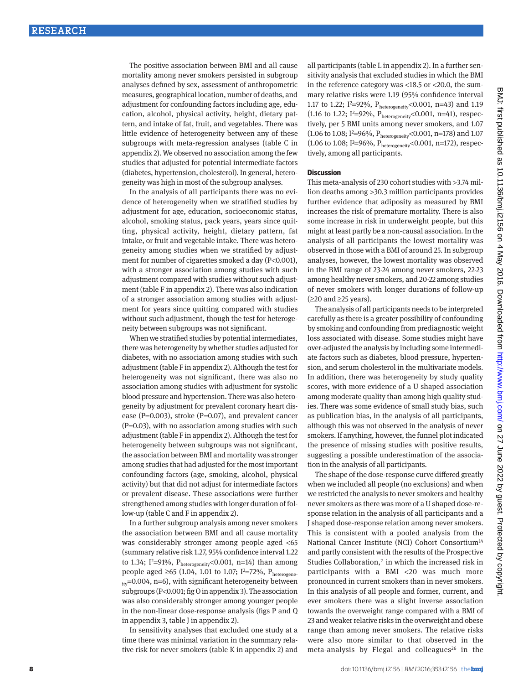The positive association between BMI and all cause mortality among never smokers persisted in subgroup analyses defined by sex, assessment of anthropometric measures, geographical location, number of deaths, and adjustment for confounding factors including age, education, alcohol, physical activity, height, dietary pattern, and intake of fat, fruit, and vegetables. There was little evidence of heterogeneity between any of these subgroups with meta-regression analyses (table C in appendix 2). We observed no association among the few studies that adjusted for potential intermediate factors (diabetes, hypertension, cholesterol). In general, heterogeneity was high in most of the subgroup analyses.

In the analysis of all participants there was no evidence of heterogeneity when we stratified studies by adjustment for age, education, socioeconomic status, alcohol, smoking status, pack years, years since quitting, physical activity, height, dietary pattern, fat intake, or fruit and vegetable intake. There was heterogeneity among studies when we stratified by adjustment for number of cigarettes smoked a day (P<0.001), with a stronger association among studies with such adjustment compared with studies without such adjustment (table F in appendix 2). There was also indication of a stronger association among studies with adjustment for years since quitting compared with studies without such adjustment, though the test for heterogeneity between subgroups was not significant.

When we stratified studies by potential intermediates, there was heterogeneity by whether studies adjusted for diabetes, with no association among studies with such adjustment (table F in appendix 2). Although the test for heterogeneity was not significant, there was also no association among studies with adjustment for systolic blood pressure and hypertension. There was also heterogeneity by adjustment for prevalent coronary heart disease (P=0.003), stroke (P=0.07), and prevalent cancer (P=0.03), with no association among studies with such adjustment (table F in appendix 2). Although the test for heterogeneity between subgroups was not significant, the association between BMI and mortality was stronger among studies that had adjusted for the most important confounding factors (age, smoking, alcohol, physical activity) but that did not adjust for intermediate factors or prevalent disease. These associations were further strengthened among studies with longer duration of follow-up (table C and F in appendix 2).

In a further subgroup analysis among never smokers the association between BMI and all cause mortality was considerably stronger among people aged <65 (summary relative risk 1.27, 95% confidence interval 1.22 to 1.34; I<sup>2</sup>=91%, P<sub>heterogeneity</sub><0.001, n=14) than among people aged ≥65 (1.04, 1.01 to 1.07; I<sup>2</sup>=72%, P<sub>heterogene</sub>.  $_{\text{itv}}$ =0.004, n=6), with significant heterogeneity between subgroups (P<0.001; fig O in appendix 3). The association was also considerably stronger among younger people in the non-linear dose-response analysis (figs P and Q in appendix 3, table J in appendix 2).

In sensitivity analyses that excluded one study at a time there was minimal variation in the summary relative risk for never smokers (table K in appendix 2) and

all participants (table L in appendix 2). In a further sensitivity analysis that excluded studies in which the BMI in the reference category was <18.5 or <20.0, the summary relative risks were 1.19 (95% confidence interval 1.17 to 1.22;  $I^2=92\%$ ,  $P_{heterogeneity}<0.001$ , n=43) and 1.19  $(1.16 \text{ to } 1.22; I<sup>2</sup>=92\%, P<sub>heterogeneity</sub><0.001, n=41), respec-$ tively, per 5 BMI units among never smokers, and 1.07 (1.06 to 1.08; I<sup>2</sup>=96%, P<sub>heterogeneity</sub> < 0.001, n=178) and 1.07  $(1.06 \text{ to } 1.08; I<sup>2</sup>=96\%, P_{heterogeneity}<0.001, n=172)$ , respectively, among all participants.

#### **Discussion**

This meta-analysis of 230 cohort studies with >3.74 million deaths among >30.3 million participants provides further evidence that adiposity as measured by BMI increases the risk of premature mortality. There is also some increase in risk in underweight people, but this might at least partly be a non-causal association. In the analysis of all participants the lowest mortality was observed in those with a BMI of around 25. In subgroup analyses, however, the lowest mortality was observed in the BMI range of 23-24 among never smokers, 22-23 among healthy never smokers, and 20-22 among studies of never smokers with longer durations of follow-up ( $≥$ 20 and  $≥$ 25 years).

The analysis of all participants needs to be interpreted carefully as there is a greater possibility of confounding by smoking and confounding from prediagnostic weight loss associated with disease. Some studies might have over-adjusted the analysis by including some intermediate factors such as diabetes, blood pressure, hypertension, and serum cholesterol in the multivariate models. In addition, there was heterogeneity by study quality scores, with more evidence of a U shaped association among moderate quality than among high quality studies. There was some evidence of small study bias, such as publication bias, in the analysis of all participants, although this was not observed in the analysis of never smokers. If anything, however, the funnel plot indicated the presence of missing studies with positive results, suggesting a possible underestimation of the association in the analysis of all participants.

The shape of the dose-response curve differed greatly when we included all people (no exclusions) and when we restricted the analysis to never smokers and healthy never smokers as there was more of a U shaped dose-response relation in the analysis of all participants and a J shaped dose-response relation among never smokers. This is consistent with a pooled analysis from the National Cancer Institute (NCI) Cohort Consortium14 and partly consistent with the results of the Prospective Studies Collaboration,<sup>2</sup> in which the increased risk in participants with a BMI <20 was much more pronounced in current smokers than in never smokers. In this analysis of all people and former, current, and ever smokers there was a slight inverse association towards the overweight range compared with a BMI of 23 and weaker relative risks in the overweight and obese range than among never smokers. The relative risks were also more similar to that observed in the meta-analysis by Flegal and colleagues<sup>26</sup> in the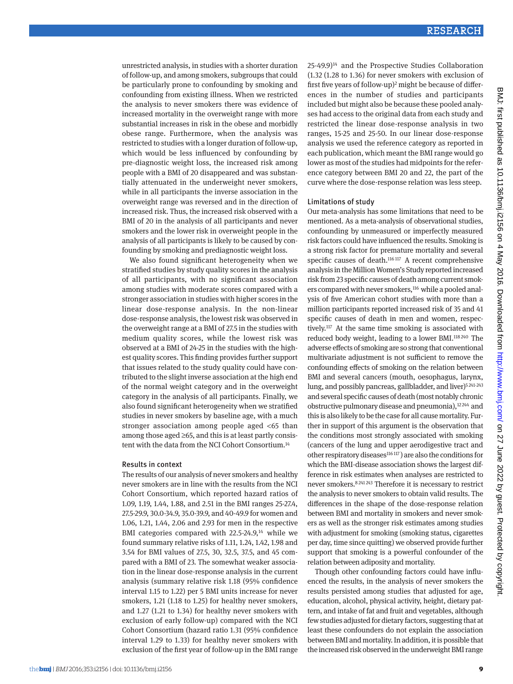unrestricted analysis, in studies with a shorter duration of follow-up, and among smokers, subgroups that could be particularly prone to confounding by smoking and confounding from existing illness. When we restricted the analysis to never smokers there was evidence of increased mortality in the overweight range with more substantial increases in risk in the obese and morbidly obese range. Furthermore, when the analysis was restricted to studies with a longer duration of follow-up, which would be less influenced by confounding by pre-diagnostic weight loss, the increased risk among people with a BMI of 20 disappeared and was substantially attenuated in the underweight never smokers, while in all participants the inverse association in the overweight range was reversed and in the direction of increased risk. Thus, the increased risk observed with a BMI of 20 in the analysis of all participants and never smokers and the lower risk in overweight people in the analysis of all participants is likely to be caused by confounding by smoking and prediagnostic weight loss.

We also found significant heterogeneity when we stratified studies by study quality scores in the analysis of all participants, with no significant association among studies with moderate scores compared with a stronger association in studies with higher scores in the linear dose-response analysis. In the non-linear dose-response analysis, the lowest risk was observed in the overweight range at a BMI of 27.5 in the studies with medium quality scores, while the lowest risk was observed at a BMI of 24-25 in the studies with the highest quality scores. This finding provides further support that issues related to the study quality could have contributed to the slight inverse association at the high end of the normal weight category and in the overweight category in the analysis of all participants. Finally, we also found significant heterogeneity when we stratified studies in never smokers by baseline age, with a much stronger association among people aged <65 than among those aged ≥65, and this is at least partly consistent with the data from the NCI Cohort Consortium.14

#### Results in context

The results of our analysis of never smokers and healthy never smokers are in line with the results from the NCI Cohort Consortium, which reported hazard ratios of 1.09, 1.19, 1.44, 1.88, and 2.51 in the BMI ranges 25-27.4, 27.5-29.9, 30.0-34.9, 35.0-39.9, and 40-49.9 for women and 1.06, 1.21, 1.44, 2.06 and 2.93 for men in the respective BMI categories compared with  $22.5-24.9$ ,<sup>14</sup> while we found summary relative risks of 1.11, 1.24, 1.42, 1.98 and 3.54 for BMI values of 27.5, 30, 32.5, 37.5, and 45 compared with a BMI of 23. The somewhat weaker association in the linear dose-response analysis in the current analysis (summary relative risk 1.18 (95% confidence interval 1.15 to 1.22) per 5 BMI units increase for never smokers, 1.21 (1.18 to 1.25) for healthy never smokers, and 1.27 (1.21 to 1.34) for healthy never smokers with exclusion of early follow-up) compared with the NCI Cohort Consortium (hazard ratio 1.31 (95% confidence interval 1.29 to 1.33) for healthy never smokers with exclusion of the first year of follow-up in the BMI range

25-49.9)14 and the Prospective Studies Collaboration (1.32 (1.28 to 1.36) for never smokers with exclusion of first five years of follow-up)<sup>2</sup> might be because of differences in the number of studies and participants included but might also be because these pooled analyses had access to the original data from each study and restricted the linear dose-response analysis in two ranges, 15-25 and 25-50. In our linear dose-response analysis we used the reference category as reported in each publication, which meant the BMI range would go lower as most of the studies had midpoints for the reference category between BMI 20 and 22, the part of the curve where the dose-response relation was less steep.

#### Limitations of study

Our meta-analysis has some limitations that need to be mentioned. As a meta-analysis of observational studies, confounding by unmeasured or imperfectly measured risk factors could have influenced the results. Smoking is a strong risk factor for premature mortality and several specific causes of death.<sup>116 117</sup> A recent comprehensive analysis in the Million Women's Study reported increased risk from 23 specific causes of death among current smokers compared with never smokers,<sup>116</sup> while a pooled analysis of five American cohort studies with more than a million participants reported increased risk of 35 and 41 specific causes of death in men and women, respectively.117 At the same time smoking is associated with reduced body weight, leading to a lower BMI.118 240 The adverse effects of smoking are so strong that conventional multivariate adjustment is not sufficient to remove the confounding effects of smoking on the relation between BMI and several cancers (mouth, oesophagus, larynx, lung, and possibly pancreas, gallbladder, and liver)<sup>5241-243</sup> and several specific causes of death (most notably chronic obstructive pulmonary disease and pneumonia),<sup>12244</sup> and this is also likely to be the case for all cause mortality. Further in support of this argument is the observation that the conditions most strongly associated with smoking (cancers of the lung and upper aerodigestive tract and other respiratory diseases<sup>116 117</sup>) are also the conditions for which the BMI-disease association shows the largest difference in risk estimates when analyses are restricted to never smokers.8 <sup>241</sup> 243 Therefore it is necessary to restrict the analysis to never smokers to obtain valid results. The differences in the shape of the dose-response relation between BMI and mortality in smokers and never smokers as well as the stronger risk estimates among studies with adjustment for smoking (smoking status, cigarettes per day, time since quitting) we observed provide further support that smoking is a powerful confounder of the relation between adiposity and mortality.

Though other confounding factors could have influenced the results, in the analysis of never smokers the results persisted among studies that adjusted for age, education, alcohol, physical activity, height, dietary pattern, and intake of fat and fruit and vegetables, although few studies adjusted for dietary factors, suggesting that at least these confounders do not explain the association between BMI and mortality. In addition, it is possible that the increased risk observed in the underweight BMI range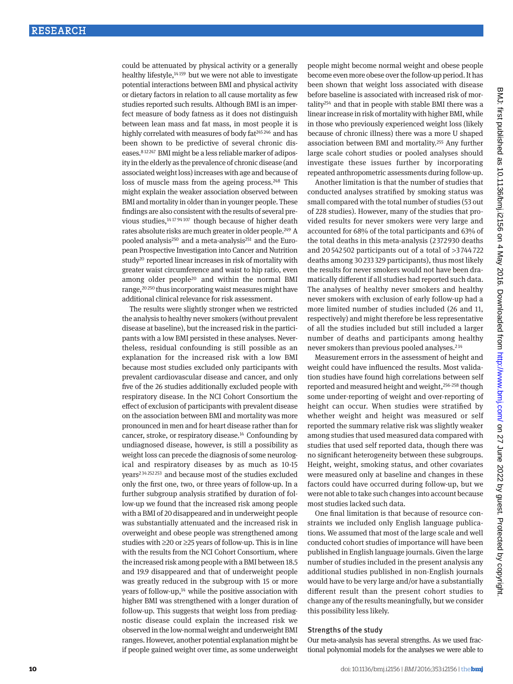could be attenuated by physical activity or a generally healthy lifestyle,<sup>14 159</sup> but we were not able to investigate potential interactions between BMI and physical activity or dietary factors in relation to all cause mortality as few studies reported such results. Although BMI is an imperfect measure of body fatness as it does not distinguish between lean mass and fat mass, in most people it is highly correlated with measures of body fat<sup>245 246</sup> and has been shown to be predictive of several chronic diseases.8 <sup>12</sup> 247 BMI might be a less reliable marker of adiposity in the elderly as the prevalence of chronic disease (and associated weight loss) increases with age and because of loss of muscle mass from the ageing process.<sup>248</sup> This might explain the weaker association observed between BMI and mortality in older than in younger people. These findings are also consistent with the results of several previous studies,<sup>1417 94107</sup> though because of higher death rates absolute risks are much greater in older people.249 A pooled analysis<sup>250</sup> and a meta-analysis<sup>251</sup> and the European Prospective Investigation into Cancer and Nutrition study<sup>20</sup> reported linear increases in risk of mortality with greater waist circumference and waist to hip ratio, even among older people20 and within the normal BMI range,<sup>20 250</sup> thus incorporating waist measures might have additional clinical relevance for risk assessment.

The results were slightly stronger when we restricted the analysis to healthy never smokers (without prevalent disease at baseline), but the increased risk in the participants with a low BMI persisted in these analyses. Nevertheless, residual confounding is still possible as an explanation for the increased risk with a low BMI because most studies excluded only participants with prevalent cardiovascular disease and cancer, and only five of the 26 studies additionally excluded people with respiratory disease. In the NCI Cohort Consortium the effect of exclusion of participants with prevalent disease on the association between BMI and mortality was more pronounced in men and for heart disease rather than for cancer, stroke, or respiratory disease.14 Confounding by undiagnosed disease, however, is still a possibility as weight loss can precede the diagnosis of some neurological and respiratory diseases by as much as 10-15 years2 <sup>34</sup> <sup>252</sup> 253 and because most of the studies excluded only the first one, two, or three years of follow-up. In a further subgroup analysis stratified by duration of follow-up we found that the increased risk among people with a BMI of 20 disappeared and in underweight people was substantially attenuated and the increased risk in overweight and obese people was strengthened among studies with ≥20 or ≥25 years of follow-up. This is in line with the results from the NCI Cohort Consortium, where the increased risk among people with a BMI between 18.5 and 19.9 disappeared and that of underweight people was greatly reduced in the subgroup with 15 or more years of follow-up,<sup>14</sup> while the positive association with higher BMI was strengthened with a longer duration of follow-up. This suggests that weight loss from prediagnostic disease could explain the increased risk we observed in the low-normal weight and underweight BMI ranges. However, another potential explanation might be if people gained weight over time, as some underweight

people might become normal weight and obese people become even more obese over the follow-up period. It has been shown that weight loss associated with disease before baseline is associated with increased risk of mortality254 and that in people with stable BMI there was a linear increase in risk of mortality with higher BMI, while in those who previously experienced weight loss (likely because of chronic illness) there was a more U shaped association between BMI and mortality.255 Any further large scale cohort studies or pooled analyses should investigate these issues further by incorporating repeated anthropometric assessments during follow-up.

Another limitation is that the number of studies that conducted analyses stratified by smoking status was small compared with the total number of studies (53 out of 228 studies). However, many of the studies that provided results for never smokers were very large and accounted for 68% of the total participants and 63% of the total deaths in this meta-analysis (2 372930 deaths and 20542502 participants out of a total of  $>3744722$ deaths among 30233 329 participants), thus most likely the results for never smokers would not have been dramatically different if all studies had reported such data. The analyses of healthy never smokers and healthy never smokers with exclusion of early follow-up had a more limited number of studies included (26 and 11, respectively) and might therefore be less representative of all the studies included but still included a larger number of deaths and participants among healthy never smokers than previous pooled analyses.<sup>214</sup>

Measurement errors in the assessment of height and weight could have influenced the results. Most validation studies have found high correlations between self reported and measured height and weight,<sup>256-258</sup> though some under-reporting of weight and over-reporting of height can occur. When studies were stratified by whether weight and height was measured or self reported the summary relative risk was slightly weaker among studies that used measured data compared with studies that used self reported data, though there was no significant heterogeneity between these subgroups. Height, weight, smoking status, and other covariates were measured only at baseline and changes in these factors could have occurred during follow-up, but we were not able to take such changes into account because most studies lacked such data.

One final limitation is that because of resource constraints we included only English language publications. We assumed that most of the large scale and well conducted cohort studies of importance will have been published in English language journals. Given the large number of studies included in the present analysis any additional studies published in non-English journals would have to be very large and/or have a substantially different result than the present cohort studies to change any of the results meaningfully, but we consider this possibility less likely.

## Strengths of the study

Our meta-analysis has several strengths. As we used fractional polynomial models for the analyses we were able to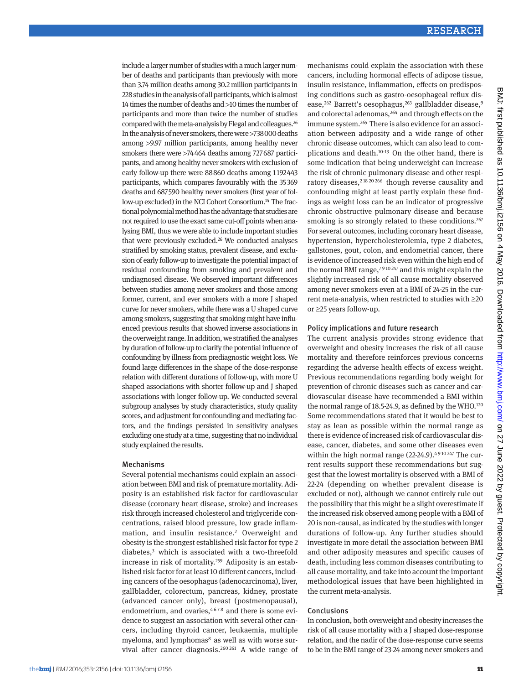include a larger number of studies with a much larger number of deaths and participants than previously with more than 3.74 million deaths among 30.2 million participants in 228 studies in the analysis of all participants, which is almost 14 times the number of deaths and >10 times the number of participants and more than twice the number of studies compared with the meta-analysis by Flegal and colleagues.26 In the analysis of never smokers, there were >738000 deaths among >9.97 million participants, among healthy never smokers there were >74464 deaths among 727687 participants, and among healthy never smokers with exclusion of early follow-up there were 88860 deaths among 1192443 participants, which compares favourably with the 35369 deaths and 687590 healthy never smokers (first year of follow-up excluded) in the NCI Cohort Consortium.<sup>14</sup> The fractional polynomial method has the advantage that studies are not required to use the exact same cut-off points when analysing BMI, thus we were able to include important studies that were previously excluded.26 We conducted analyses stratified by smoking status, prevalent disease, and exclusion of early follow-up to investigate the potential impact of residual confounding from smoking and prevalent and undiagnosed disease. We observed important differences between studies among never smokers and those among former, current, and ever smokers with a more J shaped curve for never smokers, while there was a U shaped curve among smokers, suggesting that smoking might have influenced previous results that showed inverse associations in the overweight range. In addition, we stratified the analyses by duration of follow-up to clarify the potential influence of confounding by illness from prediagnostic weight loss. We found large differences in the shape of the dose-response relation with different durations of follow-up, with more U shaped associations with shorter follow-up and J shaped associations with longer follow-up. We conducted several subgroup analyses by study characteristics, study quality scores, and adjustment for confounding and mediating factors, and the findings persisted in sensitivity analyses excluding one study at a time, suggesting that no individual study explained the results.

## Mechanisms

Several potential mechanisms could explain an association between BMI and risk of premature mortality. Adiposity is an established risk factor for cardiovascular disease (coronary heart disease, stroke) and increases risk through increased cholesterol and triglyceride concentrations, raised blood pressure, low grade inflammation, and insulin resistance.<sup>2</sup> Overweight and obesity is the strongest established risk factor for type 2 diabetes,<sup>3</sup> which is associated with a two-threefold increase in risk of mortality.259 Adiposity is an established risk factor for at least 10 different cancers, including cancers of the oesophagus (adenocarcinoma), liver, gallbladder, colorectum, pancreas, kidney, prostate (advanced cancer only), breast (postmenopausal), endometrium, and ovaries, 4678 and there is some evidence to suggest an association with several other cancers, including thyroid cancer, leukaemia, multiple myeloma, and lymphomas<sup>8</sup> as well as with worse survival after cancer diagnosis.260 261 A wide range of mechanisms could explain the association with these cancers, including hormonal effects of adipose tissue, insulin resistance, inflammation, effects on predisposing conditions such as gastro-oesophageal reflux disease,<sup>262</sup> Barrett's oesophagus,<sup>263</sup> gallbladder disease,<sup>9</sup> and colorectal adenomas,<sup>264</sup> and through effects on the immune system.265 There is also evidence for an association between adiposity and a wide range of other chronic disease outcomes, which can also lead to complications and death.10-13 On the other hand, there is some indication that being underweight can increase the risk of chronic pulmonary disease and other respiratory diseases,<sup>218 20 266</sup> though reverse causality and confounding might at least partly explain these findings as weight loss can be an indicator of progressive chronic obstructive pulmonary disease and because smoking is so strongly related to these conditions.<sup>267</sup> For several outcomes, including coronary heart disease, hypertension, hypercholesterolemia, type 2 diabetes, gallstones, gout, colon, and endometrial cancer, there is evidence of increased risk even within the high end of the normal BMI range,<sup>7910247</sup> and this might explain the slightly increased risk of all cause mortality observed among never smokers even at a BMI of 24-25 in the current meta-analysis, when restricted to studies with ≥20 or ≥25 years follow-up.

## Policy implications and future research

The current analysis provides strong evidence that overweight and obesity increases the risk of all cause mortality and therefore reinforces previous concerns regarding the adverse health effects of excess weight. Previous recommendations regarding body weight for prevention of chronic diseases such as cancer and cardiovascular disease have recommended a BMI within the normal range of 18.5-24.9, as defined by the WHO.120 Some recommendations stated that it would be best to stay as lean as possible within the normal range as there is evidence of increased risk of cardiovascular disease, cancer, diabetes, and some other diseases even within the high normal range  $(22-24.9)$ .<sup>4910247</sup> The current results support these recommendations but suggest that the lowest mortality is observed with a BMI of 22-24 (depending on whether prevalent disease is excluded or not), although we cannot entirely rule out the possibility that this might be a slight overestimate if the increased risk observed among people with a BMI of 20 is non-causal, as indicated by the studies with longer durations of follow-up. Any further studies should investigate in more detail the association between BMI and other adiposity measures and specific causes of death, including less common diseases contributing to all cause mortality, and take into account the important methodological issues that have been highlighted in the current meta-analysis.

# Conclusions

In conclusion, both overweight and obesity increases the risk of all cause mortality with a J shaped dose-response relation, and the nadir of the dose-response curve seems to be in the BMI range of 23-24 among never smokers and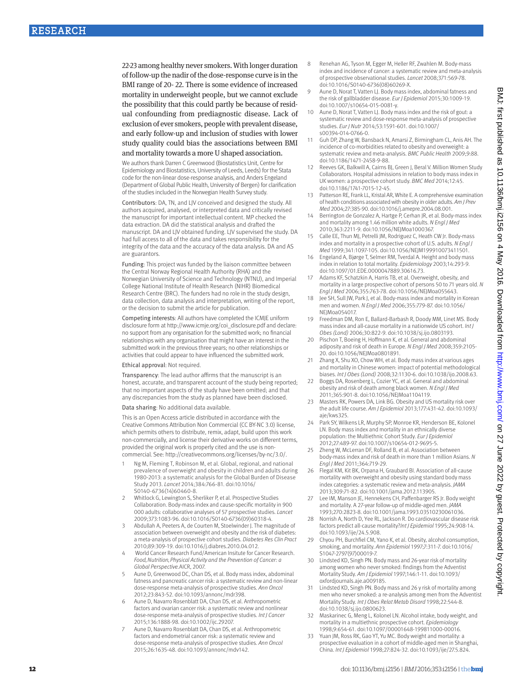22-23 among healthy never smokers. With longer duration of follow-up the nadir of the dose-response curve is in the BMI range of 20- 22. There is some evidence of increased mortality in underweight people, but we cannot exclude the possibility that this could partly be because of residual confounding from prediagnostic disease. Lack of exclusion of ever smokers, people with prevalent disease, and early follow-up and inclusion of studies with lower study quality could bias the associations between BMI and mortality towards a more U shaped association.

We authors thank Darren C Greenwood (Biostatistics Unit, Centre for Epidemiology and Biostatistics, University of Leeds, Leeds) for the Stata code for the non-linear dose-response analysis, and Anders Engeland (Department of Global Public Health, University of Bergen) for clarification of the studies included in the Norwegian Health Survey study.

Contributors: DA, TN, and LJV conceived and designed the study. All authors acquired, analysed, or interpreted data and critically revised the manuscript for important intellectual content. MP checked the data extraction. DA did the statistical analysis and drafted the manuscript. DA and LJV obtained funding. LJV supervised the study. DA had full access to all of the data and takes responsibility for the integrity of the data and the accuracy of the data analysis. DA and AS are guarantors.

Funding: This project was funded by the liaison committee between the Central Norway Regional Health Authority (RHA) and the Norwegian University of Science and Technology (NTNU), and Imperial College National Institute of Health Research (NIHR) Biomedical Research Centre (BRC). The funders had no role in the study design, data collection, data analysis and interpretation, writing of the report, or the decision to submit the article for publication.

Competing interests: All authors have completed the ICMJE uniform disclosure form at http://www.icmje.org/coi\_disclosure.pdf and declare: no support from any organisation for the submitted work; no financial relationships with any organisation that might have an interest in the submitted work in the previous three years; no other relationships or activities that could appear to have influenced the submitted work.

#### Ethical approval: Not required.

Transparency: The lead author affirms that the manuscript is an honest, accurate, and transparent account of the study being reported; that no important aspects of the study have been omitted; and that any discrepancies from the study as planned have been disclosed.

#### Data sharing: No additional data available.

This is an Open Access article distributed in accordance with the Creative Commons Attribution Non Commercial (CC BY-NC 3.0) license, which permits others to distribute, remix, adapt, build upon this work non-commercially, and license their derivative works on different terms, provided the original work is properly cited and the use is noncommercial. See: http://creativecommons.org/licenses/by-nc/3.0/.

- Ng M, Fleming T, Robinson M, et al. Global, regional, and national prevalence of overweight and obesity in children and adults during 1980-2013: a systematic analysis for the Global Burden of Disease Study 2013. *Lancet* 2014;384:766-81. doi:10.1016/ S0140-6736(14)60460-8.
- 2 Whitlock G, Lewington S, Sherliker P, et al. Prospective Studies Collaboration. Body-mass index and cause-specific mortality in 900 000 adults: collaborative analyses of 57 prospective studies. *Lancet* 2009;373:1083-96. doi:10.1016/S0140-6736(09)60318-4.
- 3 Abdullah A, Peeters A, de Courten M, Stoelwinder J. The magnitude of association between overweight and obesity and the risk of diabetes: a meta-analysis of prospective cohort studies. *Diabetes Res Clin Pract* 2010;89:309-19. doi:10.1016/j.diabres.2010.04.012.
- 4 World Cancer Research Fund/American Insitute for Cancer Research. *Food, Nutrition, Physical Activity and the Prevention of Cancer: a Global Perspective.*AICR, 2007.
- 5 Aune D, Greenwood DC, Chan DS, et al. Body mass index, abdominal fatness and pancreatic cancer risk: a systematic review and non-linear dose-response meta-analysis of prospective studies. *Ann Oncol* 2012;23:843-52. doi:10.1093/annonc/mdr398.
- 6 Aune D, Navarro Rosenblatt DA, Chan DS, et al. Anthropometric factors and ovarian cancer risk: a systematic review and nonlinear dose-response meta-analysis of prospective studies. *Int J Cancer* 2015;136:1888-98. doi:10.1002/ijc.29207.
- Aune D, Navarro Rosenblatt DA, Chan DS, et al. Anthropometric factors and endometrial cancer risk: a systematic review and dose-response meta-analysis of prospective studies. *Ann Oncol* 2015;26:1635-48. doi:10.1093/annonc/mdv142.
- 8 Renehan AG, Tyson M, Egger M, Heller RF, Zwahlen M. Body-mass index and incidence of cancer: a systematic review and meta-analysis of prospective observational studies. *Lancet* 2008;371:569-78. doi:10.1016/S0140-6736(08)60269-X.
- Aune D, Norat T, Vatten LJ. Body mass index, abdominal fatness and the risk of gallbladder disease. *Eur J Epidemiol* 2015;30:1009-19. doi:10.1007/s10654-015-0081-y.
- 10 Aune D, Norat T, Vatten LJ. Body mass index and the risk of gout: a systematic review and dose-response meta-analysis of prospective studies. *Eur J Nutr* 2014;53:1591-601. doi:10.1007/ s00394-014-0766-0.
- 11 Guh DP, Zhang W, Bansback N, Amarsi Z, Birmingham CL, Anis AH. The incidence of co-morbidities related to obesity and overweight: a systematic review and meta-analysis. *BMC Public Health* 2009;9:88. doi:10.1186/1471-2458-9-88.
- 12 Reeves GK, Balkwill A, Cairns BJ, Green J, Beral V. Million Women Study Collaborators. Hospital admissions in relation to body mass index in UK women: a prospective cohort study. *BMC Med* 2014;12:45. doi:10.1186/1741-7015-12-45.
- 13 Patterson RE, Frank LL, Kristal AR, White E. A comprehensive examination of health conditions associated with obesity in older adults. *Am J Prev Med* 2004;27:385-90. doi:10.1016/j.amepre.2004.08.001.
- 14 Berrington de Gonzalez A, Hartge P, Cerhan JR, et al. Body-mass index and mortality among 1.46 million white adults. *N Engl J Med* 2010;363:2211-9. doi:10.1056/NEJMoa1000367.
- 15 Calle EE, Thun MJ, Petrelli JM, Rodriguez C, Heath CW Jr. Body-mass index and mortality in a prospective cohort of U.S. adults. *N Engl J Med* 1999;341:1097-105. doi:10.1056/NEJM199910073411501.
- 16 Engeland A, Bjørge T, Selmer RM, Tverdal A. Height and body mass index in relation to total mortality. *Epidemiology* 2003;14:293-9. doi:10.1097/01.EDE.0000047889.30616.73.
- 17 Adams KF, Schatzkin A, Harris TB, et al. Overweight, obesity, and mortality in a large prospective cohort of persons 50 to 71 years old. *N Engl J Med* 2006;355:763-78. doi:10.1056/NEJMoa055643.
- 18 Jee SH, Sull JW, Park J, et al. Body-mass index and mortality in Korean men and women. *N Engl J Med* 2006;355:779-87. doi:10.1056/ NEJMoa054017.
- 19 Freedman DM, Ron E, Ballard-Barbash R, Doody MM, Linet MS. Body mass index and all-cause mortality in a nationwide US cohort. *Int J Obes (Lond)* 2006;30:822-9. doi:10.1038/sj.ijo.0803193.
- 20 Pischon T, Boeing H, Hoffmann K, et al. General and abdominal adiposity and risk of death in Europe. *N Engl J Med* 2008;359:2105- 20. doi:10.1056/NEJMoa0801891.
- Zhang X, Shu XO, Chow WH, et al. Body mass index at various ages and mortality in Chinese women: impact of potential methodological biases. *Int J Obes (Lond)* 2008;32:1130-6. doi:10.1038/ijo.2008.63.
- 22 Boggs DA, Rosenberg L, Cozier YC, et al. General and abdominal obesity and risk of death among black women. *N Engl J Med* 2011;365:901-8. doi:10.1056/NEJMoa1104119.
- 23 Masters RK, Powers DA, Link BG. Obesity and US mortality risk over the adult life course. *Am J Epidemiol* 2013;177:431-42. doi:10.1093/ aje/kws325.
- 24 Park SY, Wilkens LR, Murphy SP, Monroe KR, Henderson BE, Kolonel LN. Body mass index and mortality in an ethnically diverse population: the Multiethnic Cohort Study. *Eur J Epidemiol* 2012;27:489-97. doi:10.1007/s10654-012-9695-5.
- 25 Zheng W, McLerran DF, Rolland B, et al. Association between body-mass index and risk of death in more than 1 million Asians. *N Engl J Med* 2011;364:719-29.
- 26 Flegal KM, Kit BK, Orpana H, Graubard BI. Association of all-cause mortality with overweight and obesity using standard body mass index categories: a systematic review and meta-analysis. *JAMA* 2013;309:71-82. doi:10.1001/jama.2012.113905.
- 27 Lee IM, Manson JE, Hennekens CH, Paffenbarger RS Jr. Body weight and mortality. A 27-year follow-up of middle-aged men. *JAMA* 1993;270:2823-8. doi:10.1001/jama.1993.03510230061036.
- 28 Norrish A, North D, Yee RL, Jackson R. Do cardiovascular disease risk factors predict all-cause mortality?*Int J Epidemiol* 1995;24:908-14. doi:10.1093/ije/24.5.908.
- 29 Chyou PH, Burchfiel CM, Yano K, et al. Obesity, alcohol consumption, smoking, and mortality. *Ann Epidemiol* 1997;7:311-7. doi:10.1016/ S1047-2797(97)00019-7.
- 30 Lindsted KD, Singh PN. Body mass and 26-year risk of mortality among women who never smoked: findings from the Adventist Mortality Study. *Am J Epidemiol* 1997;146:1-11. doi:10.1093/ oxfordjournals.aje.a009185.
- 31 Lindsted KD, Singh PN. Body mass and 26 y risk of mortality among men who never smoked: a re-analysis among men from the Adventist Mortality Study. *Int J Obes Relat Metab Disord* 1998;22:544-8. doi:10.1038/sj.ijo.0800623.
- Maskarinec G, Meng L, Kolonel LN. Alcohol intake, body weight, and mortality in a multiethnic prospective cohort. *Epidemiology* 1998;9:654-61. doi:10.1097/00001648-199811000-00016.
- 33 Yuan JM, Ross RK, Gao YT, Yu MC. Body weight and mortality: a prospective evaluation in a cohort of middle-aged men in Shanghai, China. *Int J Epidemiol* 1998;27:824-32. doi:10.1093/ije/27.5.824.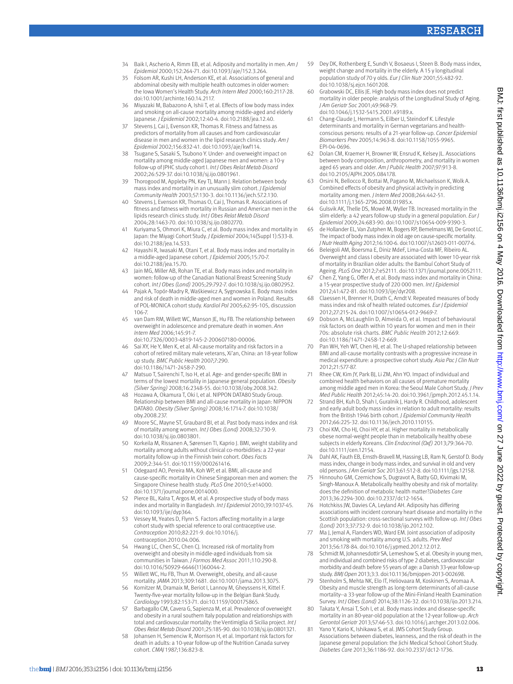- 34 Baik I, Ascherio A, Rimm EB, et al. Adiposity and mortality in men. *Am J Epidemiol* 2000;152:264-71. doi:10.1093/aje/152.3.264.
- 35 Folsom AR, Kushi LH, Anderson KE, et al. Associations of general and abdominal obesity with multiple health outcomes in older women: the Iowa Women's Health Study. *Arch Intern Med* 2000;160:2117-28. doi:10.1001/archinte.160.14.2117.
- 36 Miyazaki M, Babazono A, Ishii T, et al. Effects of low body mass index and smoking on all-cause mortality among middle-aged and elderly Japanese. *J Epidemiol* 2002;12:40-4. doi:10.2188/jea.12.40.
- 37 Stevens J, Cai J, Evenson KR, Thomas R. Fitness and fatness as predictors of mortality from all causes and from cardiovascular disease in men and women in the lipid research clinics study. *Am J Epidemiol* 2002;156:832-41. doi:10.1093/aje/kwf114.
- 38 Tsugane S, Sasaki S, Tsubono Y. Under- and overweight impact on mortality among middle-aged Japanese men and women: a 10-y follow-up of JPHC study cohort I. *Int J Obes Relat Metab Disord* 2002;26:529-37. doi:10.1038/sj.ijo.0801961.
- 39 Thorogood M, Appleby PN, Key TJ, Mann J. Relation between body mass index and mortality in an unusually slim cohort. *J Epidemiol Community Health* 2003;57:130-3. doi:10.1136/jech.57.2.130.
- 40 Stevens J, Evenson KR, Thomas O, Cai J, Thomas R. Associations of fitness and fatness with mortality in Russian and American men in the lipids research clinics study. *Int J Obes Relat Metab Disord* 2004;28:1463-70. doi:10.1038/sj.ijo.0802770.
- 41 Kuriyama S, Ohmori K, Miura C, et al. Body mass index and mortality in Japan: the Miyagi Cohort Study. *J Epidemiol* 2004;14(Suppl 1):S33-8. doi:10.2188/jea.14.S33.
- Hayashi R, Iwasaki M, Otani T, et al. Body mass index and mortality in a middle-aged Japanese cohort. *J Epidemiol* 2005;15:70-7. doi:10.2188/jea.15.70.
- Jain MG, Miller AB, Rohan TE, et al. Body mass index and mortality in women: follow-up of the Canadian National Breast Screening Study cohort. *Int J Obes (Lond)* 2005;29:792-7. doi:10.1038/sj.ijo.0802952.
- Pajak A, Topór-Madry R, Waśkiewicz A, Sygnowska E. Body mass index and risk of death in middle-aged men and women in Poland. Results of POL-MONICA cohort study. *Kardiol Pol* 2005;62:95-105, discussion 106-7.
- 45 van Dam RM, Willett WC, Manson JE, Hu FB. The relationship between overweight in adolescence and premature death in women. *Ann Intern Med* 2006;145:91-7. doi:10.7326/0003-4819-145-2-200607180-00006.
- 46 Sai XY, He Y, Men K, et al. All-cause mortality and risk factors in a cohort of retired military male veterans, Xi'an, China: an 18-year follow up study. *BMC Public Health* 2007;7:290. doi:10.1186/1471-2458-7-290.
- 47 Matsuo T, Sairenchi T, Iso H, et al. Age- and gender-specific BMI in terms of the lowest mortality in Japanese general population. *Obesity (Silver Spring)* 2008;16:2348-55. doi:10.1038/oby.2008.342.
- 48 Hozawa A, Okamura T, Oki I, et al. NIPPON DATA80 Study Group. Relationship between BMI and all-cause mortality in Japan: NIPPON DATA80. *Obesity (Silver Spring)* 2008;16:1714-7. doi:10.1038/ oby.2008.237.
- 49 Moore SC, Mayne ST, Graubard BI, et al. Past body mass index and risk of mortality among women. *Int J Obes (Lond)* 2008;32:730-9. doi:10.1038/sj.ijo.0803801.
- 50 Korkeila M, Rissanen A, Sørensen TI, Kaprio J. BMI, weight stability and mortality among adults without clinical co-morbidities: a 22-year mortality follow-up in the Finnish twin cohort. *Obes Facts* 2009;2:344-51. doi:10.1159/000261416.
- 51 Odegaard AO, Pereira MA, Koh WP, et al. BMI, all-cause and cause-specific mortality in Chinese Singaporean men and women: the Singapore Chinese health study. *PLoS One* 2010;5:e14000. doi:10.1371/journal.pone.0014000.
- 52 Pierce BL, Kalra T, Argos M, et al. A prospective study of body mass index and mortality in Bangladesh. *Int J Epidemiol* 2010;39:1037-45. doi:10.1093/ije/dyp364.
- 53 Vessey M, Yeates D, Flynn S. Factors affecting mortality in a large cohort study with special reference to oral contraceptive use. *Contraception* 2010;82:221-9. doi:10.1016/j. contraception.2010.04.006.
- 54 Hwang LC, Chen SC, Chen CJ. Increased risk of mortality from overweight and obesity in middle-aged individuals from six communities in Taiwan. *J Formos Med Assoc* 2011;110:290-8. doi:10.1016/S0929-6646(11)60044-2.
- 55 Willett WC, Hu FB, Thun M. Overweight, obesity, and all-cause mortality. *JAMA* 2013;309:1681. doi:10.1001/jama.2013.3075.
- 56 Kornitzer M, Dramaix M, Beriot I, Lannoy M, Gheyssens H, Kittel F. Twenty-five-year mortality follow-up in the Belgian Bank Study. *Cardiology* 1993;82:153-71. doi:10.1159/000175865.
- 57 Barbagallo CM, Cavera G, Sapienza M, et al. Prevalence of overweight and obesity in a rural southern Italy population and relationships with total and cardiovascular mortality: the Ventimiglia di Sicilia project. *Int J Obes Relat Metab Disord* 2001;25:185-90. doi:10.1038/sj.ijo.0801321.
- Johansen H, Semenciw R, Morrison H, et al. Important risk factors for death in adults: a 10-year follow-up of the Nutrition Canada survey cohort. *CMAJ* 1987;136:823-8.
- 59 Dey DK, Rothenberg E, Sundh V, Bosaeus I, Steen B. Body mass index, weight change and mortality in the elderly. A 15 y longitudinal population study of 70 y olds. *Eur J Clin Nutr* 2001;55:482-92. doi:10.1038/sj.ejcn.1601208.
- 60 Grabowski DC, Ellis JE. High body mass index does not predict mortality in older people: analysis of the Longitudinal Study of Aging. *J Am Geriatr Soc* 2001;49:968-79. doi:10.1046/j.1532-5415.2001.49189.x.
- 61 Chang-Claude J, Hermann S, Eilber U, Steindorf K. Lifestyle determinants and mortality in German vegetarians and healthconscious persons: results of a 21-year follow-up. *Cancer Epidemiol Biomarkers Prev* 2005;14:963-8. doi:10.1158/1055-9965. EPI-04-0696.
- 62 Dolan CM, Kraemer H, Browner W, Ensrud K, Kelsey JL. Associations between body composition, anthropometry, and mortality in women aged 65 years and older. *Am J Public Health* 2007;97:913-8. doi:10.2105/AJPH.2005.084178.
- 63 Orsini N, Bellocco R, Bottai M, Pagano M, Michaelsson K, Wolk A. Combined effects of obesity and physical activity in predicting mortality among men. *J Intern Med* 2008;264:442-51. doi:10.1111/j.1365-2796.2008.01985.x.
- 64 Gulsvik AK, Thelle DS, Mowé M, Wyller TB. Increased mortality in the slim elderly: a 42 years follow-up study in a general population. *Eur J Epidemiol* 2009;24:683-90. doi:10.1007/s10654-009-9390-3.
- 65 de Hollander EL, Van Zutphen M, Bogers RP, Bemelmans WJ, De Groot LC. The impact of body mass index in old age on cause-specific mortality. *J Nutr Health Aging* 2012;16:100-6. doi:10.1007/s12603-011-0077-6.
- 66 Beleigoli AM, Boersma E, Diniz MdeF, Lima-Costa MF, Ribeiro AL. Overweight and class I obesity are associated with lower 10-year risk of mortality in Brazilian older adults: the Bambuí Cohort Study of Ageing. *PLoS One* 2012;7:e52111. doi:10.1371/journal.pone.0052111.
- Chen Z, Yang G, Offer A, et al. Body mass index and mortality in China: a 15-year prospective study of 220 000 men. *Int J Epidemiol* 2012;41:472-81. doi:10.1093/ije/dyr208.
- 68 Claessen H, Brenner H, Drath C, Arndt V. Repeated measures of body mass index and risk of health related outcomes. *Eur J Epidemiol* 2012;27:215-24. doi:10.1007/s10654-012-9669-7.
- 69 Dobson A, McLaughlin D, Almeida O, et al. Impact of behavioural risk factors on death within 10 years for women and men in their 70s: absolute risk charts. *BMC Public Health* 2012;12:669. doi:10.1186/1471-2458-12-669.
- 70 Pan WH, Yeh WT, Chen HJ, et al. The U-shaped relationship between BMI and all-cause mortality contrasts with a progressive increase in medical expenditure: a prospective cohort study. *Asia Pac J Clin Nutr* 2012;21:577-87.
- 71 Rhee CW, Kim JY, Park BJ, Li ZM, Ahn YO. Impact of individual and combined health behaviors on all causes of premature mortality among middle aged men in Korea: the Seoul Male Cohort Study. *J Prev Med Public Health* 2012;45:14-20. doi:10.3961/jpmph.2012.45.1.14.
- 72 Strand BH, Kuh D, Shah I, Guralnik J, Hardy R. Childhood, adolescent and early adult body mass index in relation to adult mortality: results from the British 1946 birth cohort. *J Epidemiol Community Health* 2012;66:225-32. doi:10.1136/jech.2010.110155.
- 73 Choi KM, Cho HJ, Choi HY, et al. Higher mortality in metabolically obese normal-weight people than in metabolically healthy obese subjects in elderly Koreans. *Clin Endocrinol (Oxf)* 2013;79:364-70. doi:10.1111/cen.12154.
- 74 Dahl AK, Fauth EB, Ernsth-Bravell M, Hassing LB, Ram N, Gerstof D. Body mass index, change in body mass index, and survival in old and very old persons. *J Am Geriatr Soc* 2013;61:512-8. doi:10.1111/jgs.12158.
- 75 Hinnouho GM, Czernichow S, Dugravot A, Batty GD, Kivimaki M, Singh-Manoux A. Metabolically healthy obesity and risk of mortality: does the definition of metabolic health matter?*Diabetes Care* 2013;36:2294-300. doi:10.2337/dc12-1654.
- 76 Hotchkiss JW, Davies CA, Leyland AH. Adiposity has differing associations with incident coronary heart disease and mortality in the Scottish population: cross-sectional surveys with follow-up. *Int J Obes (Lond)* 2013;37:732-9. doi:10.1038/ijo.2012.102.
- Ma J, Jemal A, Flanders WD, Ward EM. Joint association of adiposity and smoking with mortality among U.S. adults. *Prev Med* 2013;56:178-84. doi:10.1016/j.ypmed.2012.12.012.
- Schmidt M, Johannesdottir SA, Lemeshow S, et al. Obesity in young men, and individual and combined risks of type 2 diabetes, cardiovascular morbidity and death before 55 years of age: a Danish 33-year follow-up study. *BMJ Open* 2013;3:3. doi:10.1136/bmjopen-2013-002698.
- Stenholm S, Mehta NK, Elo IT, Heliövaara M, Koskinen S, Aromaa A. Obesity and muscle strength as long-term determinants of all-cause mortality--a 33-year follow-up of the Mini-Finland Health Examination Survey. *Int J Obes (Lond)* 2014;38:1126-32. doi:10.1038/ijo.2013.214.
- 80 Takata Y, Ansai T, Soh I, et al. Body mass index and disease-specific mortality in an 80-year-old population at the 12-year follow-up. *Arch Gerontol Geriatr* 2013;57:46-53. doi:10.1016/j.archger.2013.02.006. Yano Y, Kario K, Ishikawa S, et al. JMS Cohort Study Group.
- Associations between diabetes, leanness, and the risk of death in the Japanese general population: the Jichi Medical School Cohort Study. *Diabetes Care* 2013;36:1186-92. doi:10.2337/dc12-1736.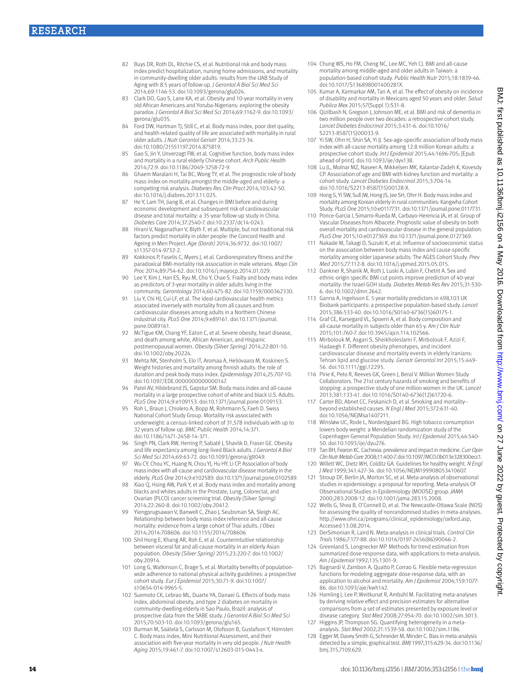- 82 Buys DR, Roth DL, Ritchie CS, et al. Nutritional risk and body mass index predict hospitalization, nursing home admissions, and mortality in community-dwelling older adults: results from the UAB Study of Aging with 8.5 years of follow-up. *J Gerontol A Biol Sci Med Sci* 2014;69:1146-53. doi:10.1093/gerona/glu024.
- 83 Clark DO, Gao S, Lane KA, et al. Obesity and 10-year mortality in very old African Americans and Yoruba-Nigerians: exploring the obesity paradox. *J Gerontol A Biol Sci Med Sci* 2014;69:1162-9. doi:10.1093/ gerona/glu035.
- 84 Ford DW, Hartman TJ, Still C, et al. Body mass index, poor diet quality, and health-related quality of life are associated with mortality in rural older adults. *J Nutr Gerontol Geriatr* 2014;33:23-34. doi:10.1080/21551197.2014.875819.
- 85 Gao S, Jin Y, Unverzagt FW, et al. Cognitive function, body mass index and mortality in a rural elderly Chinese cohort. *Arch Public Health* 2014;72:9. doi:10.1186/2049-3258-72-9.
- 86 Ghaem Maralani H, Tai BC, Wong TY, et al. The prognostic role of body mass index on mortality amongst the middle-aged and elderly: a competing risk analysis. *Diabetes Res Clin Pract* 2014;103:42-50. doi:10.1016/j.diabres.2013.11.025.
- 87 He Y, Lam TH, Jiang B, et al. Changes in BMI before and during economic development and subsequent risk of cardiovascular disease and total mortality: a 35-year follow-up study in China. *Diabetes Care* 2014;37:2540-7. doi:10.2337/dc14-0243.
- 88 Hirani V, Naganathan V, Blyth F, et al. Multiple, but not traditional risk factors predict mortality in older people: the Concord Health and Ageing in Men Project. *Age (Dordr)* 2014;36:9732. doi:10.1007/ s11357-014-9732-2.
- 89 Kokkinos P, Faselis C, Myers J, et al. Cardiorespiratory fitness and the paradoxical BMI-mortality risk association in male veterans. *Mayo Clin Proc* 2014;89:754-62. doi:10.1016/j.mayocp.2014.01.029.
- Lee Y, Kim J, Han ES, Ryu M, Cho Y, Chae S. Frailty and body mass index as predictors of 3-year mortality in older adults living in the community. *Gerontology* 2014;60:475-82. doi:10.1159/000362330.
- Liu Y, Chi HJ, Cui LF, et al. The ideal cardiovascular health metrics associated inversely with mortality from all causes and from cardiovascular diseases among adults in a Northern Chinese industrial city. *PLoS One* 2014;9:e89161. doi:10.1371/journal. pone.0089161.
- 92 McTigue KM, Chang YF, Eaton C, et al. Severe obesity, heart disease, and death among white, African American, and Hispanic postmenopausal women. *Obesity (Silver Spring)* 2014;22:801-10. doi:10.1002/oby.20224.
- 93 Mehta NK, Stenholm S, Elo IT, Aromaa A, Heliövaara M, Koskinen S. Weight histories and mortality among finnish adults: the role of duration and peak body mass index. *Epidemiology* 2014;25:707-10. doi:10.1097/EDE.0000000000000147.
- 94 Patel AV, Hildebrand IS, Gapstur SM, Body mass index and all-cause mortality in a large prospective cohort of white and black U.S. Adults. *PLoS One* 2014;9:e109153. doi:10.1371/journal.pone.0109153.
- 95 Roh L, Braun J, Chiolero A, Bopp M, Rohrmann S, Faeh D. Swiss National Cohort Study Group. Mortality risk associated with underweight: a census-linked cohort of 31,578 individuals with up to 32 years of follow-up. *BMC Public Health* 2014;14:371. doi:10.1186/1471-2458-14-371.
- 96 Singh PN, Clark RW, Herring P, Sabaté J, Shavlik D, Fraser GE. Obesity and life expectancy among long-lived Black adults. *J Gerontol A Biol Sci Med Sci* 2014;69:63-72. doi:10.1093/gerona/glt049.
- 97 Wu CY, Chou YC, Huang N, Chou YJ, Hu HY, Li CP. Association of body mass index with all-cause and cardiovascular disease mortality in the elderly. *PLoS One* 2014;9:e102589. doi:10.1371/journal.pone.0102589.
- 98 Xiao Q, Hsing AW, Park Y, et al. Body mass index and mortality among blacks and whites adults in the Prostate, Lung, Colorectal, and Ovarian (PLCO) cancer screening trial. *Obesity (Silver Spring)* 2014;22:260-8. doi:10.1002/oby.20412.
- 99 Yiengprugsawan V, Banwell C, Zhao J, Seubsman SA, Sleigh AC. Relationship between body mass index reference and all-cause mortality: evidence from a large cohort of Thai adults. *J Obes* 2014;2014:708606. doi:10.1155/2014/708606
- 100 Shil Hong E, Khang AR, Roh E, et al. Counterintuitive relationship between visceral fat and all-cause mortality in an elderly Asian population. *Obesity (Silver Spring)* 2015;23:220-7. doi:10.1002/ oby.20914.
- 101 Long G, Watkinson C, Brage S, et al. Mortality benefits of populationwide adherence to national physical activity guidelines: a prospective cohort study. *Eur J Epidemiol* 2015;30:71-9. doi:10.1007/ s10654-014-9965-5.
- 102 Suemoto CK, Lebrao ML, Duarte YA, Danaei G. Effects of body mass index, abdominal obesity, and type 2 diabetes on mortality in community-dwelling elderly in Sao Paulo, Brazil: analysis of prospective data from the SABE study. *J Gerontol A Biol Sci Med Sci* 2015;70:503-10. doi:10.1093/gerona/glu165.
- 103 Burman M, Säätelä S, Carlsson M, Olofsson B, Gustafson Y, Hörnsten C. Body mass index, Mini Nutritional Assessment, and their association with five-year mortality in very old people. *J Nutr Health Aging* 2015;19:461-7. doi:10.1007/s12603-015-0443-x.
- 104 Chung WS, Ho FM, Cheng NC, Lee MC, Yeh CJ. BMI and all-cause mortality among middle-aged and older adults in Taiwan: a population-based cohort study. *Public Health Nutr* 2015;18:1839-46. doi:10.1017/S136898001400281X.
- 105 Kumar A, Karmarkar AM, Tan A, et al. The effect of obesity on incidence of disability and mortality in Mexicans aged 50 years and older. *Salud Publica Mex* 2015;57(Suppl 1):S31-8.
- 106 Qizilbash N, Gregson J, Johnson ME, et al. BMI and risk of dementia in two million people over two decades: a retrospective cohort study. *Lancet Diabetes Endocrinol* 2015;3:431-6. doi:10.1016/ S2213-8587(15)00033-9.
- 107 Yi SW, Ohrr H, Shin SA, Yi JJ. Sex-age-specific association of body mass index with all-cause mortality among 12.8 million Korean adults: a prospective cohort study. *Int J Epidemiol* 2015;44:1696-705; [Epub
- ahead of print]. doi:10.1093/ije/dyv138. 108 Lu JL, Molnar MZ, Naseer A, Mikkelsen MK, Kalantar-Zadeh K, Kovesdy CP. Association of age and BMI with kidney function and mortality: a cohort study. *Lancet Diabetes Endocrinol* 2015;3:704-14. doi:10.1016/S2213-8587(15)00128-X.
- 109 Hong S, Yi SW, Sull JW, Hong JS, Jee SH, Ohrr H. Body mass index and mortality among Korean elderly in rural communities: Kangwha Cohort Study. *PLoS One* 2015;10:e0117731. doi:10.1371/journal.pone.0117731.
- 110 Ponce-Garcia I, Simarro-Rueda M, Carbayo-Herencia JA, et al. Group of Vascular Diseases from Albacete. Prognostic value of obesity on both overall mortality and cardiovascular disease in the general population. *PLoS One* 2015;10:e0127369. doi:10.1371/journal.pone.0127369.
- 111 Nakade M, Takagi D, Suzuki K, et al. Influence of socioeconomic status on the association between body mass index and cause-specific mortality among older Japanese adults: The AGES Cohort Study. *Prev Med* 2015;77:112-8. doi:10.1016/j.ypmed.2015.05.015.
- 112 Dankner R, Shanik M, Roth J, Luski A, Lubin F, Chetrit A. Sex and ethnic-origin specific BMI cut points improve prediction of 40-year mortality: the Israel GOH study. *Diabetes Metab Res Rev* 2015;31:530- 6. doi:10.1002/dmrr.2642.
- 113 Ganna A, Ingelsson E. 5 year mortality predictors in 498,103 UK Biobank participants: a prospective population-based study. *Lancet* 2015;386:533-40. doi:10.1016/S0140-6736(15)60175-1.
- 114 Graf CE, Karsegard VL, Spoerri A, et al. Body composition and all-cause mortality in subjects older than 65 y. *Am J Clin Nutr* 2015;101:760-7. doi:10.3945/ajcn.114.102566.
- 115 Mirbolouk M, Asgari S, Sheikholeslami F, Mirbolouk F, Azizi F, Hadaegh F. Different obesity phenotypes, and incident cardiovascular disease and mortality events in elderly Iranians: Tehran lipid and glucose study. *Geriatr Gerontol Int* 2015;15:449- 56. doi:10.1111/ggi.12295.
- 116 Pirie K, Peto R, Reeves GK, Green J, Beral V. Million Women Study Collaborators. The 21st century hazards of smoking and benefits of stopping: a prospective study of one million women in the UK. *Lancet* 2013;381:133-41. doi:10.1016/S0140-6736(12)61720-6.
- 117 Carter BD, Abnet CC, Feskanich D, et al. Smoking and mortality- beyond established causes. *N Engl J Med* 2015;372:631-40. doi:10.1056/NEJMsa1407211.
- 118 Winsløw UC, Rode L, Nordestgaard BG. High tobacco consumption lowers body weight: a Mendelian randomization study of the Copenhagen General Population Study. *Int J Epidemiol* 2015;44:540- 50. doi:10.1093/ije/dyu276.
- 119 Tan BH, Fearon KC. Cachexia: prevalence and impact in medicine. *Curr Opin Clin Nutr Metab Care* 2008;11:400-7. doi:10.1097/MCO.0b013e328300ecc1. 120 Willett WC, Dietz WH, Colditz GA. Guidelines for healthy weight. *N Engl*
- *J Med* 1999;341:427-34. doi:10.1056/NEJM199908053410607. 121 Stroup DF, Berlin JA, Morton SC, et al. Meta-analysis of observational
- studies in epidemiology: a proposal for reporting. Meta-analysis Of Observational Studies in Epidemiology (MOOSE) group. *JAMA* 2000;283:2008-12. doi:10.1001/jama.283.15.2008.
- 122 Wells G, Shea B, O'Connell D, et al. The Newcastle-Ottawa Scale (NOS) for assessing the quality of nonrandomised studies in meta-analyses. http://www.ohri.ca/programs/clinical\_epidemiology/oxford.asp, Accessed 13.08.2014.
- 123 DerSimonian R, Laird N. Meta-analysis in clinical trials. *Control Clin Trials* 1986;7:177-88. doi:10.1016/0197-2456(86)90046-2.
- 124 Greenland S, Longnecker MP. Methods for trend estimation from summarized dose-response data, with applications to meta-analysis. *Am J Epidemiol* 1992;135:1301-9.
- 125 Bagnardi V, Zambon A, Quatto P, Corrao G. Flexible meta-regression functions for modeling aggregate dose-response data, with an application to alcohol and mortality. *Am J Epidemiol* 2004;159:1077- 86. doi:10.1093/aje/kwh142.
- 126 Hamling J, Lee P, Weitkunat R, Ambühl M. Facilitating meta-analyses by deriving relative effect and precision estimates for alternative comparisons from a set of estimates presented by exposure level or disease category. *Stat Med* 2008;27:954-70. doi:10.1002/sim.3013.
- 127 Higgins JP, Thompson SG. Quantifying heterogeneity in a metaanalysis. *Stat Med* 2002;21:1539-58. doi:10.1002/sim.1186.
- 128 Egger M, Davey Smith G, Schneider M, Minder C. Bias in meta-analysis detected by a simple, graphical test. *BMJ* 1997;315:629-34. doi:10.1136/ bmj.315.7109.629.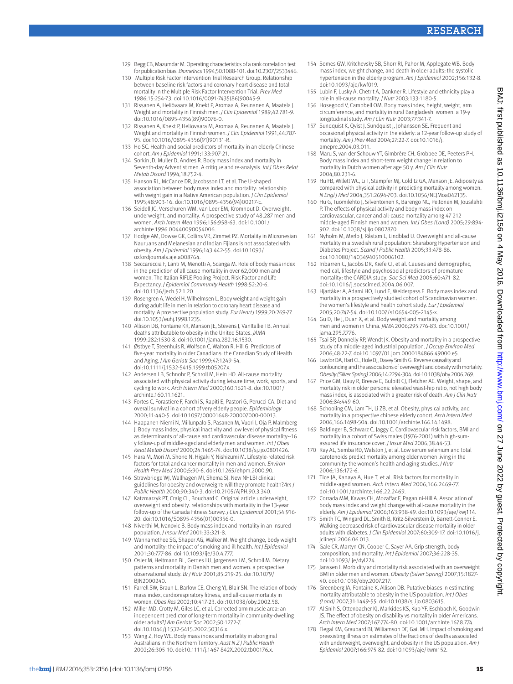- 129 Begg CB, Mazumdar M. Operating characteristics of a rank correlation test for publication bias. *Biometrics* 1994;50:1088-101. doi:10.2307/2533446.
- 130 Multiple Risk Factor Intervention Trial Research Group. Relationship between baseline risk factors and coronary heart disease and total mortality in the Multiple Risk Factor Intervention Trial. *Prev Med* 1986;15:254-73. doi:10.1016/0091-7435(86)90045-9.
- 131 Rissanen A, Heliövaara M, Knekt P, Aromaa A, Reunanen A, Maatela J. Weight and mortality in Finnish men. *J Clin Epidemiol* 1989;42:781-9. doi:10.1016/0895-4356(89)90076-0.
- 132 Rissanen A, Knekt P, Heliövaara M, Aromaa A, Reunanen A, Maatela J. Weight and mortality in Finnish women. *J Clin Epidemiol* 1991;44:787- 95. doi:10.1016/0895-4356(91)90131-R.
- 133 Ho SC. Health and social predictors of mortality in an elderly Chinese cohort. *Am J Epidemiol* 1991;133:907-21.
- 134 Sorkin JD, Muller D, Andres R. Body mass index and mortality in Seventh-day Adventist men. A critique and re-analysis. *Int J Obes Relat Metab Disord* 1994;18:752-4.
- 135 Hanson RL, McCance DR, Jacobsson LT, et al. The U-shaped association between body mass index and mortality: relationship with weight gain in a Native American population. *J Clin Epidemiol* 1995;48:903-16. doi:10.1016/0895-4356(94)00217-E.
- 136 Seidell JC, Verschuren WM, van Leer EM, Kromhout D. Overweight, underweight, and mortality. A prospective study of 48,287 men and women. *Arch Intern Med* 1996;156:958-63. doi:10.1001/ archinte.1996.00440090054006.
- 137 Hodge AM, Dowse GK, Collins VR, Zimmet PZ. Mortality in Micronesian Nauruans and Melanesian and Indian Fijians is not associated with obesity. *Am J Epidemiol* 1996;143:442-55. doi:10.1093/ oxfordjournals.aje.a008764.
- 138 Seccareccia F, Lanti M, Menotti A, Scanga M. Role of body mass index in the prediction of all cause mortality in over 62,000 men and women. The Italian RIFLE Pooling Project. Risk Factor and Life Expectancy. *J Epidemiol Community Health* 1998;52:20-6. doi:10.1136/jech.52.1.20.
- 139 Rosengren A, Wedel H, Wilhelmsen L. Body weight and weight gain during adult life in men in relation to coronary heart disease and mortality. A prospective population study. *Eur Heart J* 1999;20:269-77. doi:10.1053/euhj.1998.1235.
- 140 Allison DB, Fontaine KR, Manson JE, Stevens J, VanItallie TB. Annual deaths attributable to obesity in the United States. *JAMA* 1999;282:1530-8. doi:10.1001/jama.282.16.1530.
- 141 Østbye T, Steenhuis R, Wolfson C, Walton R, Hill G. Predictors of five-year mortality in older Canadians: the Canadian Study of Health and Aging. *J Am Geriatr Soc* 1999;47:1249-54. doi:10.1111/j.1532-5415.1999.tb05207.x.
- 142 Andersen LB, Schnohr P, Schroll M, Hein HO. All-cause mortality associated with physical activity during leisure time, work, sports, and cycling to work. *Arch Intern Med* 2000;160:1621-8. doi:10.1001/ archinte.160.11.1621.
- 143 Fortes C, Forastiere F, Farchi S, Rapiti E, Pastori G, Perucci CA. Diet and overall survival in a cohort of very elderly people. *Epidemiology* 2000;11:440-5. doi:10.1097/00001648-200007000-00013.
- 144 Haapanen-Niemi N, Miilunpalo S, Pasanen M, Vuori I, Oja P, Malmberg J. Body mass index, physical inactivity and low level of physical fitness as determinants of all-cause and cardiovascular disease mortality--16 y follow-up of middle-aged and elderly men and women. *Int J Obes Relat Metab Disord* 2000;24:1465-74. doi:10.1038/sj.ijo.0801426.
- 145 Hara M, Mori M, Shono N, Higaki Y, Nishizumi M. Lifestyle-related risk factors for total and cancer mortality in men and women. *Environ Health Prev Med* 2000;5:90-6. doi:10.1265/ehpm.2000.90.
- 146 Strawbridge WJ, Wallhagen MI, Shema SJ. New NHLBI clinical guidelines for obesity and overweight: will they promote health?*Am J Public Health* 2000;90:340-3. doi:10.2105/AJPH.90.3.340.
- 147 Katzmarzyk PT, Craig CL, Bouchard C. Original article underweight, overweight and obesity: relationships with mortality in the 13-year follow-up of the Canada Fitness Survey. *J Clin Epidemiol* 2001;54:916- 20. doi:10.1016/S0895-4356(01)00356-0.
- 148 Niverthi M, Ivanovic B. Body mass index and mortality in an insured population. *J Insur Med* 2001;33:321-8.
- 149 Wannamethee SG, Shaper AG, Walker M. Weight change, body weight and mortality: the impact of smoking and ill health. *Int J Epidemiol* 2001;30:777-86. doi:10.1093/ije/30.4.777.
- 150 Osler M, Heitmann BL, Gerdes LU, Jørgensen LM, Schroll M. Dietary patterns and mortality in Danish men and women: a prospective observational study. *Br J Nutr* 2001;85:219-25. doi:10.1079/ BJN2000240.
- Farrell SW, Braun L, Barlow CE, Cheng YJ, Blair SN. The relation of body mass index, cardiorespiratory fitness, and all-cause mortality in women. *Obes Res* 2002;10:417-23. doi:10.1038/oby.2002.58.
- 152 Miller MD, Crotty M, Giles LC, et al. Corrected arm muscle area: an independent predictor of long-term mortality in community-dwelling older adults?*J Am Geriatr Soc* 2002;50:1272-7. doi:10.1046/j.1532-5415.2002.50316.x.
- 153 Wang Z, Hoy WE. Body mass index and mortality in aboriginal Australians in the Northern Territory. *Aust N Z J Public Health* 2002;26:305-10. doi:10.1111/j.1467-842X.2002.tb00176.x.
- 154 Somes GW, Kritchevsky SB, Shorr RI, Pahor M, Applegate WB. Body mass index, weight change, and death in older adults: the systolic hypertension in the elderly program. *Am J Epidemiol* 2002;156:132-8. doi:10.1093/aje/kwf019.
- 155 Lubin F, Lusky A, Chetrit A, Dankner R. Lifestyle and ethnicity play a role in all-cause mortality. *J Nutr* 2003;133:1180-5.
- 156 Hosegood V, Campbell OM. Body mass index, height, weight, arm circumference, and mortality in rural Bangladeshi women: a 19-y longitudinal study. *Am J Clin Nutr* 2003;77:341-7.
- 157 Sundquist K, Qvist J, Sundquist J, Johansson SE. Frequent and occasional physical activity in the elderly: a 12-year follow-up study of mortality. *Am J Prev Med* 2004;27:22-7. doi:10.1016/j. amepre.2004.03.011.
- 158 Maru S, van der Schouw YT, Gimbrère CH, Grobbee DE, Peeters PH. Body mass index and short-term weight change in relation to mortality in Dutch women after age 50 y. *Am J Clin Nutr* 2004;80:231-6.
- 159 Hu FB, Willett WC, Li T, Stampfer MJ, Colditz GA, Manson JE. Adiposity as compared with physical activity in predicting mortality among women. *N Engl J Med* 2004;351:2694-703. doi:10.1056/NEJMoa042135.
- 160 Hu G, Tuomilehto J, Silventoinen K, Barengo NC, Peltonen M, Jousilahti P. The effects of physical activity and body mass index on cardiovascular, cancer and all-cause mortality among 47 212 middle-aged Finnish men and women. *Int J Obes (Lond)* 2005;29:894- 902. doi:10.1038/sj.ijo.0802870.
- 161 Nyholm M, Merlo J, Råstam L, Lindblad U. Overweight and all-cause mortality in a Swedish rural population: Skaraborg Hypertension and Diabetes Project. *Scand J Public Health* 2005;33:478-86. doi:10.1080/14034940510006102.
- 162 Iribarren C, Jacobs DR, Kiefe CI, et al. Causes and demographic, medical, lifestyle and psychosocial predictors of premature mortality: the CARDIA study. *Soc Sci Med* 2005;60:471-82. doi:10.1016/j.socscimed.2004.06.007.
- 163 Hjartåker A, Adami HO, Lund E, Weiderpass E. Body mass index and mortality in a prospectively studied cohort of Scandinavian women: the women's lifestyle and health cohort study. *Eur J Epidemiol* 2005;20:747-54. doi:10.1007/s10654-005-2145-x.
- 164 Gu D, He J, Duan X, et al. Body weight and mortality among men and women in China. *JAMA* 2006;295:776-83. doi:10.1001/ jama.295.7.776.
- 165 Tsai SP, Donnelly RP, Wendt JK. Obesity and mortality in a prospective study of a middle-aged industrial population. *J Occup Environ Med* 2006;48:22-7. doi:10.1097/01.jom.0000184866.49000.e5.
- 166 Lawlor DA, Hart CL, Hole DJ, Davey Smith G. Reverse causality and confounding and the associations of overweight and obesity with mortality. *Obesity (Silver Spring)* 2006;14:2294-304. doi:10.1038/oby.2006.269.
- 167 Price GM, Uauy R, Breeze E, Bulpitt CJ, Fletcher AE. Weight, shape, and mortality risk in older persons: elevated waist-hip ratio, not high body mass index, is associated with a greater risk of death. *Am J Clin Nutr* 2006;84:449-60.
- 168 Schooling CM, Lam TH, Li ZB, et al. Obesity, physical activity, and mortality in a prospective chinese elderly cohort. *Arch Intern Med* 2006;166:1498-504. doi:10.1001/archinte.166.14.1498.
- 169 Baldinger B, Schwarz C, Jaggy C. Cardiovascular risk factors, BMI and mortality in a cohort of Swiss males (1976-2001) with high-sumassured life insurance cover. *J Insur Med* 2006;38:44-53.
- 170 Ray AL, Semba RD, Walston J, et al. Low serum selenium and total carotenoids predict mortality among older women living in the community: the women's health and aging studies. *J Nutr* 2006;136:172-6.
- 171 Tice JA, Kanaya A, Hue T, et al. Risk factors for mortality in middle-aged women. *Arch Intern Med* 2006;166:2469-77. doi:10.1001/archinte.166.22.2469.
- 172 Corrada MM, Kawas CH, Mozaffar F, Paganini-Hill A. Association of body mass index and weight change with all-cause mortality in the elderly. *Am J Epidemiol* 2006;163:938-49. doi:10.1093/aje/kwj114.
- 173 Smith TC, Wingard DL, Smith B, Kritz-Silverstein D, Barrett-Connor E. Walking decreased risk of cardiovascular disease mortality in older adults with diabetes. *J Clin Epidemiol* 2007;60:309-17. doi:10.1016/j. jclinepi.2006.06.013.
- 174 Gale CR, Martyn CN, Cooper C, Sayer AA. Grip strength, body composition, and mortality. *Int J Epidemiol* 2007;36:228-35. doi:10.1093/ije/dyl224.
- 175 Janssen I. Morbidity and mortality risk associated with an overweight BMI in older men and women. *Obesity (Silver Spring)* 2007;15:1827- 40. doi:10.1038/oby.2007.217.
- 176 Greenberg JA, Fontaine K, Allison DB. Putative biases in estimating mortality attributable to obesity in the US population. *Int J Obes (Lond)* 2007;31:1449-55. doi:10.1038/sj.ijo.0803615.
- 177 Al Snih S, Ottenbacher KJ, Markides KS, Kuo YF, Eschbach K, Goodwin JS. The effect of obesity on disability vs mortality in older Americans. *Arch Intern Med* 2007;167:774-80. doi:10.1001/archinte.167.8.774.
- 178 Flegal KM, Graubard BI, Williamson DF, Gail MH. Impact of smoking and preexisting illness on estimates of the fractions of deaths associated with underweight, overweight, and obesity in the US population. *Am J Epidemiol* 2007;166:975-82. doi:10.1093/aje/kwm152.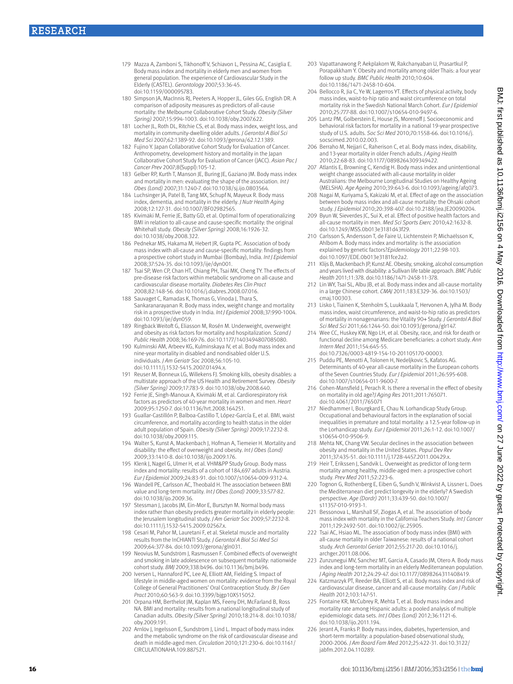- 179 Mazza A, Zamboni S, Tikhonoff V, Schiavon L, Pessina AC, Casiglia E. Body mass index and mortality in elderly men and women from general population. The experience of Cardiovascular Study in the Elderly (CASTEL). *Gerontology* 2007;53:36-45. doi:10.1159/000095783.
- 180 Simpson JA, MacInnis RJ, Peeters A, Hopper JL, Giles GG, English DR. A comparison of adiposity measures as predictors of all-cause mortality: the Melbourne Collaborative Cohort Study. *Obesity (Silver Spring)* 2007;15:994-1003. doi:10.1038/oby.2007.622.
- 181 Locher JL, Roth DL, Ritchie CS, et al. Body mass index, weight loss, and mortality in community-dwelling older adults. *J Gerontol A Biol Sci Med Sci* 2007;62:1389-92. doi:10.1093/gerona/62.12.1389.
- 182 Fujino Y. Japan Collaborative Cohort Study for Evaluation of Cancer. Anthropometry, development history and mortality in the Japan Collaborative Cohort Study for Evaluation of Cancer (JACC). *Asian Pac J Cancer Prev* 2007;8(Suppl):105-12.
- 183 Gelber RP, Kurth T, Manson JE, Buring JE, Gaziano JM. Body mass index and mortality in men: evaluating the shape of the association. *Int J Obes (Lond)* 2007;31:1240-7. doi:10.1038/sj.ijo.0803564.
- 184 Luchsinger JA, Patel B, Tang MX, Schupf N, Mayeux R. Body mass index, dementia, and mortality in the elderly. *J Nutr Health Aging* 2008;12:127-31. doi:10.1007/BF02982565.
- 185 Kivimäki M, Ferrie JE, Batty GD, et al. Optimal form of operationalizing BMI in relation to all-cause and cause-specific mortality: the original Whitehall study. *Obesity (Silver Spring)* 2008;16:1926-32. doi:10.1038/oby.2008.322.
- 186 Pednekar MS, Hakama M, Hebert JR, Gupta PC. Association of body mass index with all-cause and cause-specific mortality: findings from a prospective cohort study in Mumbai (Bombay), India. *Int J Epidemiol* 2008;37:524-35. doi:10.1093/ije/dyn001.
- 187 Tsai SP, Wen CP, Chan HT, Chiang PH, Tsai MK, Cheng TY. The effects of pre-disease risk factors within metabolic syndrome on all-cause and cardiovascular disease mortality. *Diabetes Res Clin Pract* 2008;82:148-56. doi:10.1016/j.diabres.2008.07.016.
- 188 Sauvaget C, Ramadas K, Thomas G, Vinoda J, Thara S, Sankaranarayanan R. Body mass index, weight change and mortality risk in a prospective study in India. *Int J Epidemiol* 2008;37:990-1004. doi:10.1093/ije/dyn059.
- 189 Ringbäck Weitoft G, Eliasson M, Rosén M. Underweight, overweight and obesity as risk factors for mortality and hospitalization. *Scand J Public Health* 2008;36:169-76. doi:10.1177/1403494807085080.
- 190 Kulminski AM, Arbeev KG, Kulminskaya IV, et al. Body mass index and nine-year mortality in disabled and nondisabled older U.S. individuals. *J Am Geriatr Soc* 2008;56:105-10. doi:10.1111/j.1532-5415.2007.01494.x.
- 191 Reuser M, Bonneux LG, Willekens FJ. Smoking kills, obesity disables: a multistate approach of the US Health and Retirement Survey. *Obesity (Silver Spring)* 2009;17:783-9. doi:10.1038/oby.2008.640.
- 192 Ferrie JE, Singh-Manoux A, Kivimäki M, et al. Cardiorespiratory risk factors as predictors of 40-year mortality in women and men. *Heart* 2009;95:1250-7. doi:10.1136/hrt.2008.164251.
- 193 Guallar-Castillón P, Balboa-Castillo T, López-García E, et al. BMI, waist circumference, and mortality according to health status in the older adult population of Spain. *Obesity (Silver Spring)* 2009;17:2232-8. doi:10.1038/oby.2009.115.
- 194 Walter S, Kunst A, Mackenbach J, Hofman A, Tiemeier H. Mortality and disability: the effect of overweight and obesity. *Int J Obes (Lond)* 2009;33:1410-8. doi:10.1038/ijo.2009.176.
- 195 Klenk J, Nagel G, Ulmer H, et al. VHM&PP Study Group. Body mass index and mortality: results of a cohort of 184,697 adults in Austria. *Eur J Epidemiol* 2009;24:83-91. doi:10.1007/s10654-009-9312-4.
- 196 Wändell PE, Carlsson AC, Theobald H. The association between BMI value and long-term mortality. *Int J Obes (Lond)* 2009;33:577-82. doi:10.1038/ijo.2009.36.
- 197 Stessman J, Jacobs JM, Ein-Mor E, Bursztyn M. Normal body mass index rather than obesity predicts greater mortality in elderly people: the Jerusalem longitudinal study. *J Am Geriatr Soc* 2009;57:2232-8. doi:10.1111/j.1532-5415.2009.02567.x.
- 198 Cesari M, Pahor M, Lauretani F, et al. Skeletal muscle and mortality results from the InCHIANTI Study. *J Gerontol A Biol Sci Med Sci* 2009;64:377-84. doi:10.1093/gerona/gln031.
- 199 Neovius M, Sundström J, Rasmussen F. Combined effects of overweight and smoking in late adolescence on subsequent mortality: nationwide cohort study. *BMJ* 2009;338:b496. doi:10.1136/bmj.b496.
- 200 Iversen L, Hannaford PC, Lee AJ, Elliott AM, Fielding S. Impact of lifestyle in middle-aged women on mortality: evidence from the Royal College of General Practitioners' Oral Contraception Study. *Br J Gen Pract* 2010;60:563-9. doi:10.3399/bjgp10X515052.
- 201 Orpana HM, Berthelot JM, Kaplan MS, Feeny DH, McFarland B, Ross NA. BMI and mortality: results from a national longitudinal study of Canadian adults. *Obesity (Silver Spring)* 2010;18:214-8. doi:10.1038/ oby.2009.191.
- 202 Arnlöv J, Ingelsson E, Sundström J, Lind L. Impact of body mass index and the metabolic syndrome on the risk of cardiovascular disease and death in middle-aged men. *Circulation* 2010;121:230-6. doi:10.1161/ CIRCULATIONAHA.109.887521.
- 203 Vapattanawong P, Aekplakorn W, Rakchanyaban U, Prasartkul P, Porapakkham Y. Obesity and mortality among older Thais: a four year follow up study. *BMC Public Health* 2010;10:604. doi:10.1186/1471-2458-10-604.
- 204 Bellocco R, Jia C, Ye W, Lagerros YT. Effects of physical activity, body mass index, waist-to-hip ratio and waist circumference on total mortality risk in the Swedish National March Cohort. *Eur J Epidemiol* 2010;25:777-88. doi:10.1007/s10654-010-9497-6.
- 205 Lantz PM, Golberstein E, House JS, Morenoff J. Socioeconomic and behavioral risk factors for mortality in a national 19-year prospective study of U.S. adults. *Soc Sci Med* 2010;70:1558-66. doi:10.1016/j. socscimed.2010.02.003.
- 206 Berraho M, Nejjari C, Raherison C, et al. Body mass index, disability, and 13-year mortality in older French adults. *J Aging Health* 2010;22:68-83. doi:10.1177/0898264309349422.
- 207 Atlantis E, Browning C, Kendig H. Body mass index and unintentional weight change associated with all-cause mortality in older Australians: the Melbourne Longitudinal Studies on Healthy Ageing (MELSHA). *Age Ageing* 2010;39:643-6. doi:10.1093/ageing/afq073.
- 208 Nagai M, Kuriyama S, Kakizaki M, et al. Effect of age on the association between body mass index and all-cause mortality: the Ohsaki cohort study. *J Epidemiol* 2010;20:398-407. doi:10.2188/jea.JE20090204.
- 209 Byun W, Sieverdes JC, Sui X, et al. Effect of positive health factors and all-cause mortality in men. *Med Sci Sports Exerc* 2010;42:1632-8. doi:10.1249/MSS.0b013e3181d43f29.
- 210 Carlsson S, Andersson T, de Faire U, Lichtenstein P, Michaëlsson K, Ahlbom A. Body mass index and mortality: is the association explained by genetic factors?*Epidemiology* 2011;22:98-103. doi:10.1097/EDE.0b013e3181fce2a2.
- 211 Klijs B, Mackenbach JP, Kunst AE. Obesity, smoking, alcohol consumption and years lived with disability: a Sullivan life table approach. *BMC Public Health* 2011;11:378. doi:10.1186/1471-2458-11-378.
- 212 Lin WY, Tsai SL, Albu JB, et al. Body mass index and all-cause mortality in a large Chinese cohort. *CMAJ* 2011;183:E329-36. doi:10.1503/ cmaj.100303.
- 213 Lisko I, Tiainen K, Stenholm S, Luukkaala T, Hervonen A, Jylhä M. Body mass index, waist circumference, and waist-to-hip ratio as predictors of mortality in nonagenarians: the Vitality 90+ Study. *J Gerontol A Biol Sci Med Sci* 2011;66:1244-50. doi:10.1093/gerona/glr147.
- 214 Wee CC, Huskey KW, Ngo LH, et al. Obesity, race, and risk for death or functional decline among Medicare beneficiaries: a cohort study. *Ann Intern Med* 2011;154:645-55.

doi:10.7326/0003-4819-154-10-201105170-00003. 215 Puddu PE, Menotti A, Tolonen H, Nedeljkovic S, Kafatos AG. Determinants of 40-year all-cause mortality in the European cohorts

- of the Seven Countries Study. *Eur J Epidemiol* 2011;26:595-608. doi:10.1007/s10654-011-9600-7. 216 Cohen-Mansfield I, Perach R. Is there a reversal in the effect of obesity
- on mortality in old age?*J Aging Res* 2011;2011:765071. doi:10.4061/2011/765071
- 217 Niedhammer I, Bourgkard E, Chau N. Lorhandicap Study Group. Occupational and behavioural factors in the explanation of social inequalities in premature and total mortality: a 12.5-year follow-up in the Lorhandicap study. *Eur J Epidemiol* 2011;26:1-12. doi:10.1007/ s10654-010-9506-9.
- 218 Mehta NK, Chang VW. Secular declines in the association between obesity and mortality in the United States. *Popul Dev Rev* 2011;37:435-51. doi:10.1111/j.1728-4457.2011.00429.x.
- 219 Heir T, Erikssen J, Sandvik L. Overweight as predictor of long-term mortality among healthy, middle-aged men: a prospective cohort study. *Prev Med* 2011;52:223-6.
- 220 Tognon G, Rothenberg E, Eiben G, Sundh V, Winkvist A, Lissner L. Does the Mediterranean diet predict longevity in the elderly? A Swedish perspective. *Age (Dordr)* 2011;33:439-50. doi:10.1007/ s11357-010-9193-1.
- 221 Bessonova L, Marshall SF, Ziogas A, et al. The association of body mass index with mortality in the California Teachers Study. *Int J Cancer* 2011;129:2492-501. doi:10.1002/ijc.25905.
- 222 Tsai AC, Hsiao ML. The association of body mass index (BMI) with all-cause mortality in older Taiwanese: results of a national cohort study. *Arch Gerontol Geriatr* 2012;55:217-20. doi:10.1016/j. archger.2011.08.006.
- 223 Zunzunegui MV, Sanchez MT, Garcia A, Casado JM, Otero A. Body mass index and long-term mortality in an elderly Mediterranean population. *J Aging Health* 2012;24:29-47. doi:10.1177/0898264311408419.
- 224 Katzmarzyk PT, Reeder BA, Elliott S, et al. Body mass index and risk of cardiovascular disease, cancer and all-cause mortality. *Can J Public Health* 2012;103:147-51.
- 225 Fontaine KR, McCubrey R, Mehta T, et al. Body mass index and mortality rate among Hispanic adults: a pooled analysis of multiple epidemiologic data sets. *Int J Obes (Lond)* 2012;36:1121-6. doi:10.1038/ijo.2011.194.
- 226 Jerant A, Franks P. Body mass index, diabetes, hypertension, and short-term mortality: a population-based observational study, 2000-2006. *J Am Board Fam Med* 2012;25:422-31. doi:10.3122/ jabfm.2012.04.110289.

16